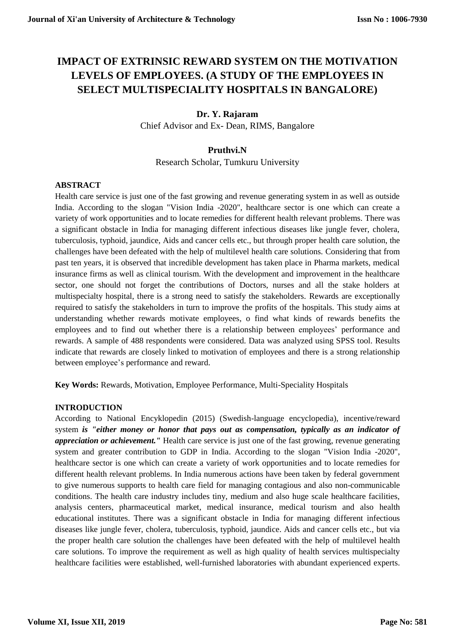# **IMPACT OF EXTRINSIC REWARD SYSTEM ON THE MOTIVATION LEVELS OF EMPLOYEES. (A STUDY OF THE EMPLOYEES IN SELECT MULTISPECIALITY HOSPITALS IN BANGALORE)**

## **Dr. Y. Rajaram**

Chief Advisor and Ex- Dean, RIMS, Bangalore

## **Pruthvi.N**

Research Scholar, Tumkuru University

## **ABSTRACT**

Health care service is just one of the fast growing and revenue generating system in as well as outside India. According to the slogan "Vision India -2020", healthcare sector is one which can create a variety of work opportunities and to locate remedies for different health relevant problems. There was a significant obstacle in India for managing different infectious diseases like jungle fever, cholera, tuberculosis, typhoid, jaundice, Aids and cancer cells etc., but through proper health care solution, the challenges have been defeated with the help of multilevel health care solutions. Considering that from past ten years, it is observed that incredible development has taken place in Pharma markets, medical insurance firms as well as clinical tourism. With the development and improvement in the healthcare sector, one should not forget the contributions of Doctors, nurses and all the stake holders at multispecialty hospital, there is a strong need to satisfy the stakeholders. Rewards are exceptionally required to satisfy the stakeholders in turn to improve the profits of the hospitals. This study aims at understanding whether rewards motivate employees, o find what kinds of rewards benefits the employees and to find out whether there is a relationship between employees' performance and rewards. A sample of 488 respondents were considered. Data was analyzed using SPSS tool. Results indicate that rewards are closely linked to motivation of employees and there is a strong relationship between employee's performance and reward.

**Key Words:** Rewards, Motivation, Employee Performance, Multi-Speciality Hospitals

## **INTRODUCTION**

According to National Encyklopedin (2015) (Swedish-language encyclopedia), incentive/reward system *is "either money or honor that pays out as compensation, typically as an indicator of appreciation or achievement."* Health care service is just one of the fast growing, revenue generating system and greater contribution to GDP in India. According to the slogan "Vision India -2020", healthcare sector is one which can create a variety of work opportunities and to locate remedies for different health relevant problems. In India numerous actions have been taken by federal government to give numerous supports to health care field for managing contagious and also non-communicable conditions. The health care industry includes tiny, medium and also huge scale healthcare facilities, analysis centers, pharmaceutical market, medical insurance, medical tourism and also health educational institutes. There was a significant obstacle in India for managing different infectious diseases like jungle fever, cholera, tuberculosis, typhoid, jaundice. Aids and cancer cells etc., but via the proper health care solution the challenges have been defeated with the help of multilevel health care solutions. To improve the requirement as well as high quality of health services multispecialty healthcare facilities were established, well-furnished laboratories with abundant experienced experts.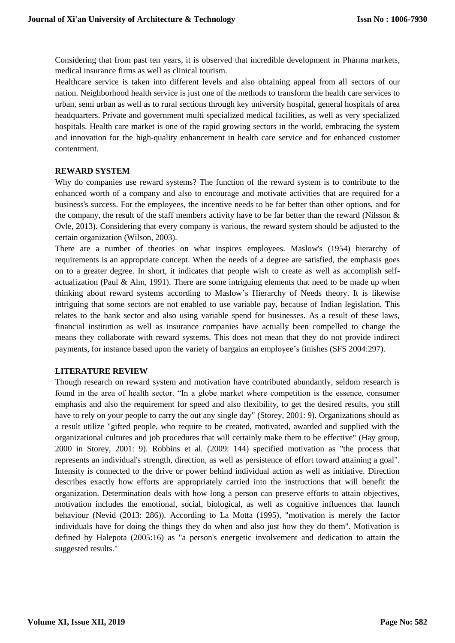Considering that from past ten years, it is observed that incredible development in Pharma markets, medical insurance firms as well as clinical tourism.

Healthcare service is taken into different levels and also obtaining appeal from all sectors of our nation. Neighborhood health service is just one of the methods to transform the health care services to urban, semi urban as well as to rural sections through key university hospital, general hospitals of area headquarters. Private and government multi specialized medical facilities, as well as very specialized hospitals. Health care market is one of the rapid growing sectors in the world, embracing the system and innovation for the high-quality enhancement in health care service and for enhanced customer contentment.

## **REWARD SYSTEM**

Why do companies use reward systems? The function of the reward system is to contribute to the enhanced worth of a company and also to encourage and motivate activities that are required for a business's success. For the employees, the incentive needs to be far better than other options, and for the company, the result of the staff members activity have to be far better than the reward (Nilsson & Ovle, 2013). Considering that every company is various, the reward system should be adjusted to the certain organization (Wilson, 2003).

There are a number of theories on what inspires employees. Maslow's (1954) hierarchy of requirements is an appropriate concept. When the needs of a degree are satisfied, the emphasis goes on to a greater degree. In short, it indicates that people wish to create as well as accomplish selfactualization (Paul & Alm, 1991). There are some intriguing elements that need to be made up when thinking about reward systems according to Maslow's Hierarchy of Needs theory. It is likewise intriguing that some sectors are not enabled to use variable pay, because of Indian legislation. This relates to the bank sector and also using variable spend for businesses. As a result of these laws, financial institution as well as insurance companies have actually been compelled to change the means they collaborate with reward systems. This does not mean that they do not provide indirect payments, for instance based upon the variety of bargains an employee's finishes (SFS 2004:297).

## **LITERATURE REVIEW**

Though research on reward system and motivation have contributed abundantly, seldom research is found in the area of health sector. "In a globe market where competition is the essence, consumer emphasis and also the requirement for speed and also flexibility, to get the desired results, you still have to rely on your people to carry the out any single day" (Storey, 2001: 9). Organizations should as a result utilize "gifted people, who require to be created, motivated, awarded and supplied with the organizational cultures and job procedures that will certainly make them to be effective" (Hay group, 2000 in Storey, 2001: 9). Robbins et al. (2009: 144) specified motivation as "the process that represents an individual's strength, direction, as well as persistence of effort toward attaining a goal". Intensity is connected to the drive or power behind individual action as well as initiative. Direction describes exactly how efforts are appropriately carried into the instructions that will benefit the organization. Determination deals with how long a person can preserve efforts to attain objectives, motivation includes the emotional, social, biological, as well as cognitive influences that launch behaviour (Nevid (2013: 286)). According to La Motta (1995), "motivation is merely the factor individuals have for doing the things they do when and also just how they do them". Motivation is defined by Halepota (2005:16) as "a person's energetic involvement and dedication to attain the suggested results."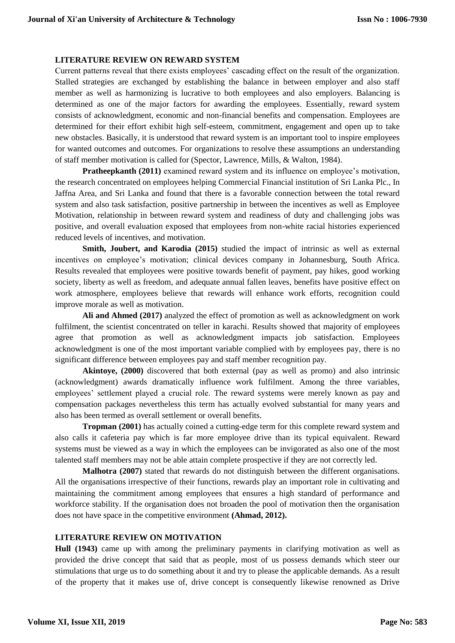## **LITERATURE REVIEW ON REWARD SYSTEM**

Current patterns reveal that there exists employees' cascading effect on the result of the organization. Stalled strategies are exchanged by establishing the balance in between employer and also staff member as well as harmonizing is lucrative to both employees and also employers. Balancing is determined as one of the major factors for awarding the employees. Essentially, reward system consists of acknowledgment, economic and non-financial benefits and compensation. Employees are determined for their effort exhibit high self-esteem, commitment, engagement and open up to take new obstacles. Basically, it is understood that reward system is an important tool to inspire employees for wanted outcomes and outcomes. For organizations to resolve these assumptions an understanding of staff member motivation is called for (Spector, Lawrence, Mills, & Walton, 1984).

**Pratheepkanth (2011)** examined reward system and its influence on employee's motivation, the research concentrated on employees helping Commercial Financial institution of Sri Lanka Plc., In Jaffna Area, and Sri Lanka and found that there is a favorable connection between the total reward system and also task satisfaction, positive partnership in between the incentives as well as Employee Motivation, relationship in between reward system and readiness of duty and challenging jobs was positive, and overall evaluation exposed that employees from non-white racial histories experienced reduced levels of incentives, and motivation.

**Smith, Joubert, and Karodia (2015)** studied the impact of intrinsic as well as external incentives on employee's motivation; clinical devices company in Johannesburg, South Africa. Results revealed that employees were positive towards benefit of payment, pay hikes, good working society, liberty as well as freedom, and adequate annual fallen leaves, benefits have positive effect on work atmosphere, employees believe that rewards will enhance work efforts, recognition could improve morale as well as motivation.

**Ali and Ahmed (2017)** analyzed the effect of promotion as well as acknowledgment on work fulfilment, the scientist concentrated on teller in karachi. Results showed that majority of employees agree that promotion as well as acknowledgment impacts job satisfaction. Employees acknowledgment is one of the most important variable complied with by employees pay, there is no significant difference between employees pay and staff member recognition pay.

**Akintoye, (2000)** discovered that both external (pay as well as promo) and also intrinsic (acknowledgment) awards dramatically influence work fulfilment. Among the three variables, employees' settlement played a crucial role. The reward systems were merely known as pay and compensation packages nevertheless this term has actually evolved substantial for many years and also has been termed as overall settlement or overall benefits.

**Tropman (2001)** has actually coined a cutting-edge term for this complete reward system and also calls it cafeteria pay which is far more employee drive than its typical equivalent. Reward systems must be viewed as a way in which the employees can be invigorated as also one of the most talented staff members may not be able attain complete prospective if they are not correctly led.

**Malhotra (2007)** stated that rewards do not distinguish between the different organisations. All the organisations irrespective of their functions, rewards play an important role in cultivating and maintaining the commitment among employees that ensures a high standard of performance and workforce stability. If the organisation does not broaden the pool of motivation then the organisation does not have space in the competitive environment **(Ahmad, 2012).**

## **LITERATURE REVIEW ON MOTIVATION**

**Hull (1943)** came up with among the preliminary payments in clarifying motivation as well as provided the drive concept that said that as people, most of us possess demands which steer our stimulations that urge us to do something about it and try to please the applicable demands. As a result of the property that it makes use of, drive concept is consequently likewise renowned as Drive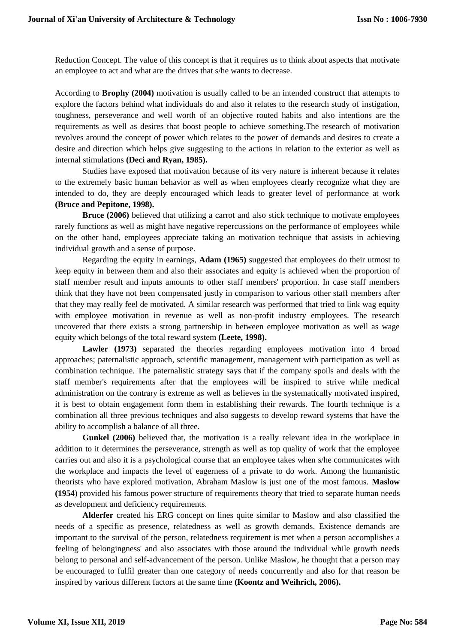Reduction Concept. The value of this concept is that it requires us to think about aspects that motivate an employee to act and what are the drives that s/he wants to decrease.

According to **Brophy (2004)** motivation is usually called to be an intended construct that attempts to explore the factors behind what individuals do and also it relates to the research study of instigation, toughness, perseverance and well worth of an objective routed habits and also intentions are the requirements as well as desires that boost people to achieve something.The research of motivation revolves around the concept of power which relates to the power of demands and desires to create a desire and direction which helps give suggesting to the actions in relation to the exterior as well as internal stimulations **(Deci and Ryan, 1985).**

Studies have exposed that motivation because of its very nature is inherent because it relates to the extremely basic human behavior as well as when employees clearly recognize what they are intended to do, they are deeply encouraged which leads to greater level of performance at work **(Bruce and Pepitone, 1998).**

**Bruce (2006)** believed that utilizing a carrot and also stick technique to motivate employees rarely functions as well as might have negative repercussions on the performance of employees while on the other hand, employees appreciate taking an motivation technique that assists in achieving individual growth and a sense of purpose.

Regarding the equity in earnings, **Adam (1965)** suggested that employees do their utmost to keep equity in between them and also their associates and equity is achieved when the proportion of staff member result and inputs amounts to other staff members' proportion. In case staff members think that they have not been compensated justly in comparison to various other staff members after that they may really feel de motivated. A similar research was performed that tried to link wag equity with employee motivation in revenue as well as non-profit industry employees. The research uncovered that there exists a strong partnership in between employee motivation as well as wage equity which belongs of the total reward system **(Leete, 1998).**

Lawler (1973) separated the theories regarding employees motivation into 4 broad approaches; paternalistic approach, scientific management, management with participation as well as combination technique. The paternalistic strategy says that if the company spoils and deals with the staff member's requirements after that the employees will be inspired to strive while medical administration on the contrary is extreme as well as believes in the systematically motivated inspired, it is best to obtain engagement form them in establishing their rewards. The fourth technique is a combination all three previous techniques and also suggests to develop reward systems that have the ability to accomplish a balance of all three.

**Gunkel (2006)** believed that, the motivation is a really relevant idea in the workplace in addition to it determines the perseverance, strength as well as top quality of work that the employee carries out and also it is a psychological course that an employee takes when s/he communicates with the workplace and impacts the level of eagerness of a private to do work. Among the humanistic theorists who have explored motivation, Abraham Maslow is just one of the most famous. **Maslow (1954**) provided his famous power structure of requirements theory that tried to separate human needs as development and deficiency requirements.

**Alderfer** created his ERG concept on lines quite similar to Maslow and also classified the needs of a specific as presence, relatedness as well as growth demands. Existence demands are important to the survival of the person, relatedness requirement is met when a person accomplishes a feeling of belongingness' and also associates with those around the individual while growth needs belong to personal and self-advancement of the person. Unlike Maslow, he thought that a person may be encouraged to fulfil greater than one category of needs concurrently and also for that reason be inspired by various different factors at the same time **(Koontz and Weihrich, 2006).**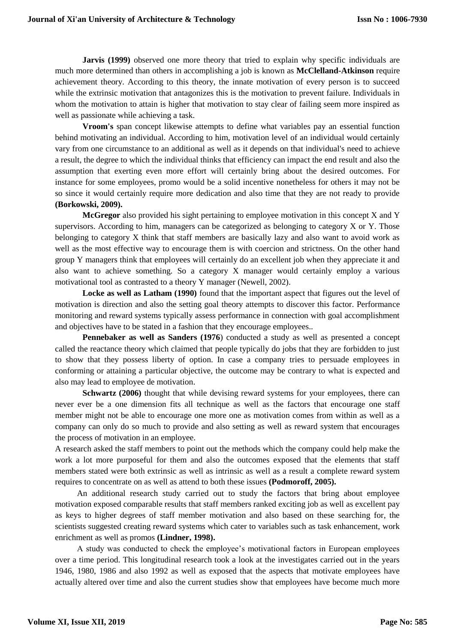**Jarvis (1999)** observed one more theory that tried to explain why specific individuals are much more determined than others in accomplishing a job is known as **McClelland-Atkinson** require achievement theory. According to this theory, the innate motivation of every person is to succeed while the extrinsic motivation that antagonizes this is the motivation to prevent failure. Individuals in whom the motivation to attain is higher that motivation to stay clear of failing seem more inspired as well as passionate while achieving a task.

**Vroom's** span concept likewise attempts to define what variables pay an essential function behind motivating an individual. According to him, motivation level of an individual would certainly vary from one circumstance to an additional as well as it depends on that individual's need to achieve a result, the degree to which the individual thinks that efficiency can impact the end result and also the assumption that exerting even more effort will certainly bring about the desired outcomes. For instance for some employees, promo would be a solid incentive nonetheless for others it may not be so since it would certainly require more dedication and also time that they are not ready to provide **(Borkowski, 2009).**

**McGregor** also provided his sight pertaining to employee motivation in this concept X and Y supervisors. According to him, managers can be categorized as belonging to category X or Y. Those belonging to category X think that staff members are basically lazy and also want to avoid work as well as the most effective way to encourage them is with coercion and strictness. On the other hand group Y managers think that employees will certainly do an excellent job when they appreciate it and also want to achieve something. So a category X manager would certainly employ a various motivational tool as contrasted to a theory Y manager (Newell, 2002).

**Locke as well as Latham (1990)** found that the important aspect that figures out the level of motivation is direction and also the setting goal theory attempts to discover this factor. Performance monitoring and reward systems typically assess performance in connection with goal accomplishment and objectives have to be stated in a fashion that they encourage employees..

**Pennebaker as well as Sanders (1976**) conducted a study as well as presented a concept called the reactance theory which claimed that people typically do jobs that they are forbidden to just to show that they possess liberty of option. In case a company tries to persuade employees in conforming or attaining a particular objective, the outcome may be contrary to what is expected and also may lead to employee de motivation.

**Schwartz (2006)** thought that while devising reward systems for your employees, there can never ever be a one dimension fits all technique as well as the factors that encourage one staff member might not be able to encourage one more one as motivation comes from within as well as a company can only do so much to provide and also setting as well as reward system that encourages the process of motivation in an employee.

A research asked the staff members to point out the methods which the company could help make the work a lot more purposeful for them and also the outcomes exposed that the elements that staff members stated were both extrinsic as well as intrinsic as well as a result a complete reward system requires to concentrate on as well as attend to both these issues **(Podmoroff, 2005).**

An additional research study carried out to study the factors that bring about employee motivation exposed comparable results that staff members ranked exciting job as well as excellent pay as keys to higher degrees of staff member motivation and also based on these searching for, the scientists suggested creating reward systems which cater to variables such as task enhancement, work enrichment as well as promos **(Lindner, 1998).**

A study was conducted to check the employee's motivational factors in European employees over a time period. This longitudinal research took a look at the investigates carried out in the years 1946, 1980, 1986 and also 1992 as well as exposed that the aspects that motivate employees have actually altered over time and also the current studies show that employees have become much more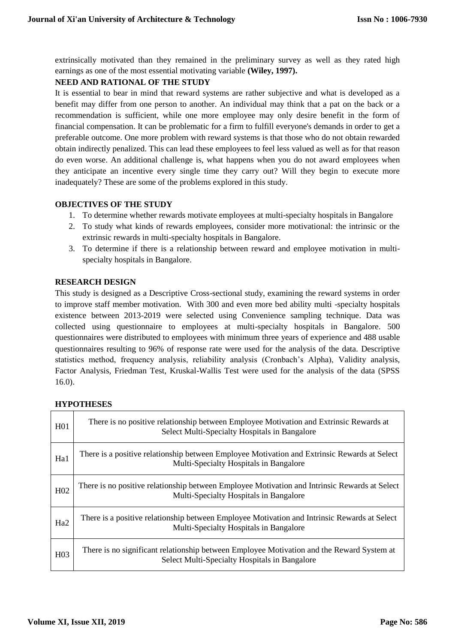extrinsically motivated than they remained in the preliminary survey as well as they rated high earnings as one of the most essential motivating variable **(Wiley, 1997).**

## **NEED AND RATIONAL OF THE STUDY**

It is essential to bear in mind that reward systems are rather subjective and what is developed as a benefit may differ from one person to another. An individual may think that a pat on the back or a recommendation is sufficient, while one more employee may only desire benefit in the form of financial compensation. It can be problematic for a firm to fulfill everyone's demands in order to get a preferable outcome. One more problem with reward systems is that those who do not obtain rewarded obtain indirectly penalized. This can lead these employees to feel less valued as well as for that reason do even worse. An additional challenge is, what happens when you do not award employees when they anticipate an incentive every single time they carry out? Will they begin to execute more inadequately? These are some of the problems explored in this study.

## **OBJECTIVES OF THE STUDY**

- 1. To determine whether rewards motivate employees at multi-specialty hospitals in Bangalore
- 2. To study what kinds of rewards employees, consider more motivational: the intrinsic or the extrinsic rewards in multi-specialty hospitals in Bangalore.
- 3. To determine if there is a relationship between reward and employee motivation in multispecialty hospitals in Bangalore.

## **RESEARCH DESIGN**

This study is designed as a Descriptive Cross-sectional study, examining the reward systems in order to improve staff member motivation. With 300 and even more bed ability multi -specialty hospitals existence between 2013-2019 were selected using Convenience sampling technique. Data was collected using questionnaire to employees at multi-specialty hospitals in Bangalore. 500 questionnaires were distributed to employees with minimum three years of experience and 488 usable questionnaires resulting to 96% of response rate were used for the analysis of the data. Descriptive statistics method, frequency analysis, reliability analysis (Cronbach's Alpha), Validity analysis, Factor Analysis, Friedman Test, Kruskal-Wallis Test were used for the analysis of the data (SPSS 16.0).

## **HYPOTHESES**

| H <sub>01</sub> | There is no positive relationship between Employee Motivation and Extrinsic Rewards at<br>Select Multi-Specialty Hospitals in Bangalore    |
|-----------------|--------------------------------------------------------------------------------------------------------------------------------------------|
| Ha1             | There is a positive relationship between Employee Motivation and Extrinsic Rewards at Select<br>Multi-Specialty Hospitals in Bangalore     |
| H <sub>02</sub> | There is no positive relationship between Employee Motivation and Intrinsic Rewards at Select<br>Multi-Specialty Hospitals in Bangalore    |
| Ha <sub>2</sub> | There is a positive relationship between Employee Motivation and Intrinsic Rewards at Select<br>Multi-Specialty Hospitals in Bangalore     |
| H <sub>03</sub> | There is no significant relationship between Employee Motivation and the Reward System at<br>Select Multi-Specialty Hospitals in Bangalore |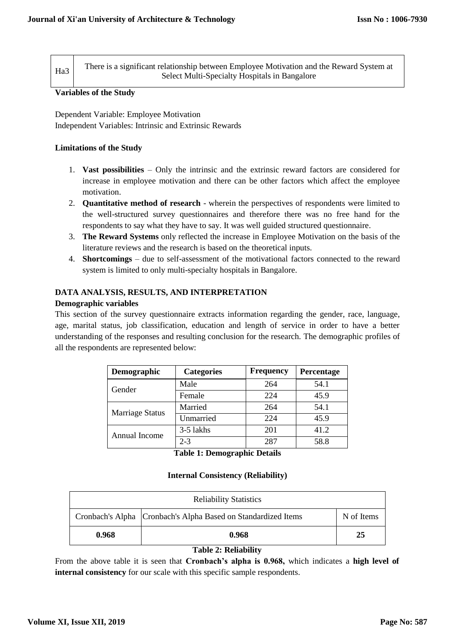| Ha3 | There is a significant relationship between Employee Motivation and the Reward System at |
|-----|------------------------------------------------------------------------------------------|
|     | Select Multi-Specialty Hospitals in Bangalore                                            |

#### **Variables of the Study**

Dependent Variable: Employee Motivation Independent Variables: Intrinsic and Extrinsic Rewards

## **Limitations of the Study**

- 1. **Vast possibilities**  Only the intrinsic and the extrinsic reward factors are considered for increase in employee motivation and there can be other factors which affect the employee motivation.
- 2. **Quantitative method of research**  wherein the perspectives of respondents were limited to the well-structured survey questionnaires and therefore there was no free hand for the respondents to say what they have to say. It was well guided structured questionnaire.
- 3. **The Reward Systems** only reflected the increase in Employee Motivation on the basis of the literature reviews and the research is based on the theoretical inputs.
- 4. **Shortcomings** due to self-assessment of the motivational factors connected to the reward system is limited to only multi-specialty hospitals in Bangalore.

## **DATA ANALYSIS, RESULTS, AND INTERPRETATION**

## **Demographic variables**

This section of the survey questionnaire extracts information regarding the gender, race, language, age, marital status, job classification, education and length of service in order to have a better understanding of the responses and resulting conclusion for the research. The demographic profiles of all the respondents are represented below:

| Demographic            | <b>Categories</b> | <b>Frequency</b> | <b>Percentage</b> |
|------------------------|-------------------|------------------|-------------------|
| Gender                 | Male              | 264              | 54.1              |
|                        | Female            | 224              | 45.9              |
| <b>Marriage Status</b> | Married           | 264              | 54.1              |
|                        | Unmarried         | 224              | 45.9              |
| Annual Income          | 3-5 lakhs         | 201              | 41.2              |
|                        | $2 - 3$           | 287              | 58.8              |

**Table 1: Demographic Details**

## **Internal Consistency (Reliability)**

| <b>Reliability Statistics</b>                                                 |       |    |  |  |  |  |  |  |  |  |  |
|-------------------------------------------------------------------------------|-------|----|--|--|--|--|--|--|--|--|--|
| Cronbach's Alpha   Cronbach's Alpha Based on Standardized Items<br>N of Items |       |    |  |  |  |  |  |  |  |  |  |
| 0.968                                                                         | 0.968 | 25 |  |  |  |  |  |  |  |  |  |

## **Table 2: Reliability**

From the above table it is seen that **Cronbach's alpha is 0.968,** which indicates a **high level of internal consistency** for our scale with this specific sample respondents.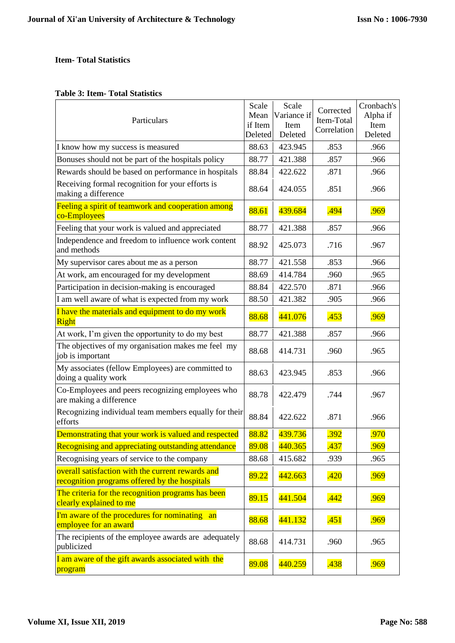## **Item- Total Statistics**

## **Table 3: Item- Total Statistics**

| Particulars                                                                                        | Scale<br>Mean<br>if Item<br>Deleted | Scale<br>Variance if<br>Item<br>Deleted | Corrected<br>Item-Total<br>Correlation | Cronbach's<br>Alpha if<br>Item<br>Deleted |
|----------------------------------------------------------------------------------------------------|-------------------------------------|-----------------------------------------|----------------------------------------|-------------------------------------------|
| I know how my success is measured                                                                  | 88.63                               | 423.945                                 | .853                                   | .966                                      |
| Bonuses should not be part of the hospitals policy                                                 | 88.77                               | 421.388                                 | .857                                   | .966                                      |
| Rewards should be based on performance in hospitals                                                | 88.84                               | 422.622                                 | .871                                   | .966                                      |
| Receiving formal recognition for your efforts is<br>making a difference                            | 88.64                               | 424.055                                 | .851                                   | .966                                      |
| Feeling a spirit of teamwork and cooperation among<br>co-Employees                                 | 88.61                               | 439.684                                 | .494                                   | .969                                      |
| Feeling that your work is valued and appreciated                                                   | 88.77                               | 421.388                                 | .857                                   | .966                                      |
| Independence and freedom to influence work content<br>and methods                                  | 88.92                               | 425.073                                 | .716                                   | .967                                      |
| My supervisor cares about me as a person                                                           | 88.77                               | 421.558                                 | .853                                   | .966                                      |
| At work, am encouraged for my development                                                          | 88.69                               | 414.784                                 | .960                                   | .965                                      |
| Participation in decision-making is encouraged                                                     | 88.84                               | 422.570                                 | .871                                   | .966                                      |
| I am well aware of what is expected from my work                                                   | 88.50                               | 421.382                                 | .905                                   | .966                                      |
| I have the materials and equipment to do my work<br><b>Right</b>                                   | 88.68                               | 441.076                                 | .453                                   | .969                                      |
| At work, I'm given the opportunity to do my best                                                   | 88.77                               | 421.388                                 | .857                                   | .966                                      |
| The objectives of my organisation makes me feel my<br>job is important                             | 88.68                               | 414.731                                 | .960                                   | .965                                      |
| My associates (fellow Employees) are committed to<br>doing a quality work                          | 88.63                               | 423.945                                 | .853                                   | .966                                      |
| Co-Employees and peers recognizing employees who<br>are making a difference                        | 88.78                               | 422.479                                 | .744                                   | .967                                      |
| Recognizing individual team members equally for their<br>efforts                                   | 88.84                               | 422.622                                 | .871                                   | .966                                      |
| Demonstrating that your work is valued and respected                                               | 88.82                               | 439.736                                 | .392                                   | .970                                      |
| Recognising and appreciating outstanding attendance                                                | 89.08                               | 440.365                                 | .437                                   | .969                                      |
| Recognising years of service to the company                                                        | 88.68                               | 415.682                                 | .939                                   | .965                                      |
| overall satisfaction with the current rewards and<br>recognition programs offered by the hospitals | 89.22                               | 442.663                                 | .420                                   | .969                                      |
| The criteria for the recognition programs has been<br>clearly explained to me                      | 89.15                               | 441.504                                 | .442                                   | .969                                      |
| I'm aware of the procedures for nominating an<br>employee for an award                             | 88.68                               | 441.132                                 | .451                                   | .969                                      |
| The recipients of the employee awards are adequately<br>publicized                                 | 88.68                               | 414.731                                 | .960                                   | .965                                      |
| I am aware of the gift awards associated with the<br>program                                       | 89.08                               | 440.259                                 | .438                                   | .969                                      |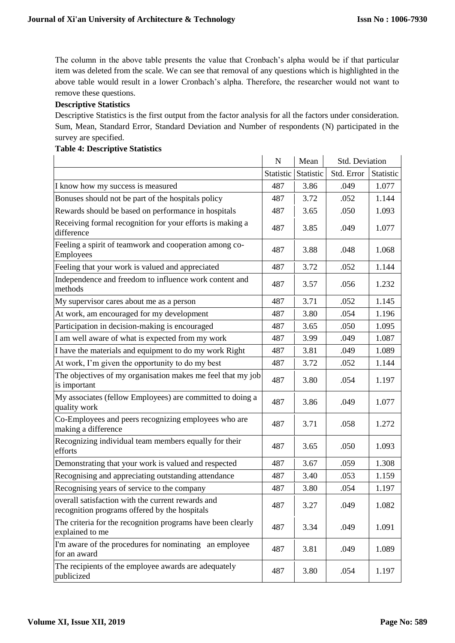The column in the above table presents the value that Cronbach's alpha would be if that particular item was deleted from the scale. We can see that removal of any questions which is highlighted in the above table would result in a lower Cronbach's alpha. Therefore, the researcher would not want to remove these questions.

## **Descriptive Statistics**

Descriptive Statistics is the first output from the factor analysis for all the factors under consideration. Sum, Mean, Standard Error, Standard Deviation and Number of respondents (N) participated in the survey are specified.

# **Table 4: Descriptive Statistics**

|                                                                                                    | $\mathbf N$ | Mean      | Std. Deviation |           |
|----------------------------------------------------------------------------------------------------|-------------|-----------|----------------|-----------|
|                                                                                                    | Statistic   | Statistic | Std. Error     | Statistic |
| I know how my success is measured                                                                  | 487         | 3.86      | .049           | 1.077     |
| Bonuses should not be part of the hospitals policy                                                 | 487         | 3.72      | .052           | 1.144     |
| Rewards should be based on performance in hospitals                                                | 487         | 3.65      | .050           | 1.093     |
| Receiving formal recognition for your efforts is making a<br>difference                            | 487         | 3.85      | .049           | 1.077     |
| Feeling a spirit of teamwork and cooperation among co-<br>Employees                                | 487         | 3.88      | .048           | 1.068     |
| Feeling that your work is valued and appreciated                                                   | 487         | 3.72      | .052           | 1.144     |
| Independence and freedom to influence work content and<br>methods                                  | 487         | 3.57      | .056           | 1.232     |
| My supervisor cares about me as a person                                                           | 487         | 3.71      | .052           | 1.145     |
| At work, am encouraged for my development                                                          | 487         | 3.80      | .054           | 1.196     |
| Participation in decision-making is encouraged                                                     | 487         | 3.65      | .050           | 1.095     |
| I am well aware of what is expected from my work                                                   | 487         | 3.99      | .049           | 1.087     |
| I have the materials and equipment to do my work Right                                             | 487         | 3.81      | .049           | 1.089     |
| At work, I'm given the opportunity to do my best                                                   | 487         | 3.72      | .052           | 1.144     |
| The objectives of my organisation makes me feel that my job<br>is important                        | 487         | 3.80      | .054           | 1.197     |
| My associates (fellow Employees) are committed to doing a<br>quality work                          | 487         | 3.86      | .049           | 1.077     |
| Co-Employees and peers recognizing employees who are<br>making a difference                        | 487         | 3.71      | .058           | 1.272     |
| Recognizing individual team members equally for their<br>efforts                                   | 487         | 3.65      | .050           | 1.093     |
| Demonstrating that your work is valued and respected                                               | 487         | 3.67      | .059           | 1.308     |
| Recognising and appreciating outstanding attendance                                                | 487         | 3.40      | .053           | 1.159     |
| Recognising years of service to the company                                                        | 487         | 3.80      | .054           | 1.197     |
| overall satisfaction with the current rewards and<br>recognition programs offered by the hospitals | 487         | 3.27      | .049           | 1.082     |
| The criteria for the recognition programs have been clearly<br>explained to me                     | 487         | 3.34      | .049           | 1.091     |
| I'm aware of the procedures for nominating<br>an employee<br>for an award                          | 487         | 3.81      | .049           | 1.089     |
| The recipients of the employee awards are adequately<br>publicized                                 | 487         | 3.80      | .054           | 1.197     |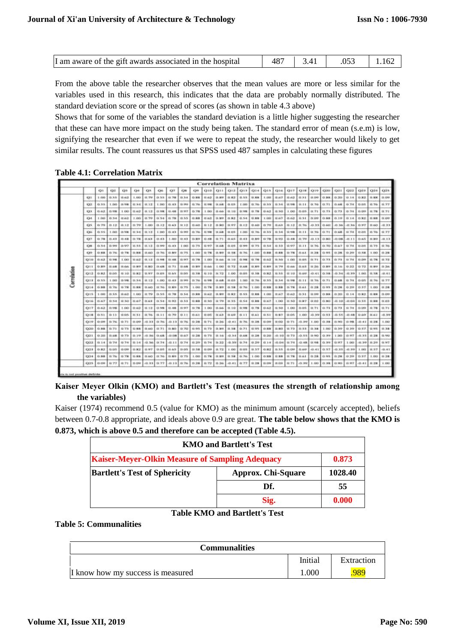| I am aware of the gift awards associated in the hospital | 487 |  | $\begin{array}{ c c c c c c c c } \hline 3.41 & .053 & 1.162 \hline \end{array}$ |  |
|----------------------------------------------------------|-----|--|----------------------------------------------------------------------------------|--|
|----------------------------------------------------------|-----|--|----------------------------------------------------------------------------------|--|

From the above table the researcher observes that the mean values are more or less similar for the variables used in this research, this indicates that the data are probably normally distributed. The standard deviation score or the spread of scores (as shown in table 4.3 above)

Shows that for some of the variables the standard deviation is a little higher suggesting the researcher that these can have more impact on the study being taken. The standard error of mean (s.e.m) is low, signifying the researcher that even if we were to repeat the study, the researcher would likely to get similar results. The count reassures us that SPSS used 487 samples in calculating these figures

**Table 4.1: Correlation Matrix**

|             |              |           |               |                |                      |             |                |            |               |               |          | <b>Correlation Matrixa</b> |            |             |             |                |                 |             |                         |            |             |               |                   |                 |                 |           |
|-------------|--------------|-----------|---------------|----------------|----------------------|-------------|----------------|------------|---------------|---------------|----------|----------------------------|------------|-------------|-------------|----------------|-----------------|-------------|-------------------------|------------|-------------|---------------|-------------------|-----------------|-----------------|-----------|
|             |              | 21.       | 0x            | 28             | OH.                  | O3.         | On             | O7         | CXR           | ages.         |          | K310 C311                  | 012        |             | $Q13$ $Q14$ |                | Q15 1316        | OIT.        | <b>GTE</b>              | $-019$     | <b>CERT</b> | 4331          | C222              | Od 3            | 3326            | C329      |
|             | 433          | 2.450     | 0.55          | 33, 662,       | 3.1801               | 42.758      | 0.55           | 43.736     | 11.5-8.       | <b>D.SSL</b>  | 0.62     | 0.89                       | 0.83       | 0.55        | 11, 836     |                | 1,000 \$ 43,657 | 43, 623     | 0.81                    | 1.0.00     | 0.98        | $0.30 - 0.1$  | 0.14              | 0.83            | 11. <b>JCK</b>  | 13, 274   |
|             | QZ.          | 0.15      | 1.00          | EX 1000        | $D$ as $\frac{1}{2}$ | 红.1次        | 1.043          | 23.33      | <b>CL-990</b> | 41.766        | 12, 1500 | 0.508                      | 0.05       | E.4301      | 0.76        | 0.55           | 13.364.         | 0.98        | $15 - 24$               | 13.768     | 0.71.       | 0.68          | $43 - 214$        | <b>EX 13.75</b> | <b>D.76</b>     | 0.77      |
|             | 4,378        | 0.63      | <b>CLAIR</b>  | 1.00           | 0.62                 | <b>U.12</b> | <b>EL 100E</b> | 林本区        | 0.97          | EL-758.       | 1.001    | D.M.                       | 49, 142    | 0.98        | 0.78        |                | $0.63$ 0.50     | 1.00        | $13 - 13$ <sup>56</sup> | 48.73      | 0.73.       | 0.73          | 0.74              | EX ASAR         | <b>JL 78</b>    | 0.71      |
|             | 684          | $1 - 001$ | 0.54          | 日向ま            | 7.00                 | 13.79       | 0.54           | EL 78      | 0.55          | 0.88          | 49.63    | 11.899                     | 0.82       | 0.54        | 0.88        | 1.00           | 3 11 07         | 0.62        | 作为1                     | 0.09       | 0.98        | 0.19          | 0.14              | D.R.T.          | 11.8R           | 0.09      |
|             | 05           | 41.7%     | 作文書           | 43.3.2         | 15.798               | 1.083       | 81.12          | 43, 64, 94 | 0.12          | <b>EX 643</b> | 49.125   | 0.80                       | 0.97       | 0.12        | 33, 4428    | 0.70           | 0.63            | 83.828      | 22.76                   | 48.33      | 0.60        | $-0.36$       | $-18.36$          | 0.97            | (1.06)          | (1, 2, 3) |
|             | <b>Close</b> | 0.55      | 0.111         | ITX 1698       | $D$ as $\frac{1}{2}$ | は.1主        | 4.043          | D.83       | 12, 68.01     | 0.76          | 12, 1500 | 13.068                     | $-0.05$    | E.001       | 0.76        |                | 0.55 0.84       | 11.998      | $12 - 21$               | 11.76      | 0.71        | 0.68          | 43.756            | <b>D.05</b>     | 41.766          | 0.77      |
|             | <b>CYT</b>   | 0.78      | 0.83.         | 11.48          | 13.78.               | 0.671       | $D-43$         | 1.00       | 0.03          | 0.99          | 12.48    | 0.71                       | 0.65.1     | $0 - 11$    | 81, 809     |                | 0.78 0.92       | 0.48        | $-294$                  | $-0.13$    | 0.90        |               | $-0.08$ , $-0.11$ |                 | 0.65   0.89     | $-0.13$   |
|             | 4,300        | 0.34      | 0.99          | <b>DOM</b>     | 12.15%               | 43.138      | 43, 1449       | 85, 1878   | 1.001         | 10.75         | 12.977   | 11,646                     | 0.0%       | 0.99        | 41.775      |                | 0.5431.83       | 13.197      | (0, 1)                  | 10.76      | 0.70        | 0.67          | 13.74             | <b>D.BS</b>     | 13, 25,         | 0.76      |
|             | O9           | 以保算       | 0.76          | <b>G.7%</b>    | 13, 18, 18           | 13.463      | D.76           | 13.800     | 0.75          | 1.00          | 0.78     | 0.89                       | 0.58       | 0.76        | 1.00        | <b>O.H.N.</b>  | 11,838          | 0.78        | 0.61                    | 11.28      | 0.95        | 0.28.         | $13 - 210$        | 0.58            | 1.00            | 0.28      |
|             | 010          | 0.62      | <b>CL MAL</b> | 1.00           | 日 百生 日 12            |             | 13, 1998       | 13.050     | ILWT.         | 22, 256       | 1.001    | D.446                      | 010        | <b>Q.98</b> | 0.78        |                | $0.62$   $0.50$ | 3.00        | 0.0%                    | 0.73       | 0.73.1      | 0.73          | 1.74              | <b>DLDR</b>     | 11.78           | 0.72      |
|             | <b>OLL</b>   | 0.99      | 0.68          | <b>CL Outs</b> | 13, 5619             | 11.903.     | 13, 628        | 0.71       | 11.648        | 0.99          | $0-66$   | 1.00.1                     | 0.72       | 0.68        | 11, 829     |                | 0.89 11.79      | <b>0.65</b> | 0.61                    | 11.26      | 0.99        | 0.16          | 0.22              |                 | $0.73.1$ H.RV   | 13.206    |
| Correlation | 013          | 0.92      | 0.05          | 0.10           | <b>D.N.T.</b>        | 11.977      | 0.03           | 13.6%      | 0.04          | 23, 538       | 0.10     | 0.72                       | 1.00       | 0.0%        | 0.58        | の発言            | 11.5.5          | 43.343      | 0.69                    | $-0.41$    | 0.58        | 0.14          | $-13.99$          | 1.00            | 13. Sck.        | 45.81     |
|             | 011          | 0.55      | 1.00          | <b>EL 1958</b> | 0.54.1               | 0.12        | 1.00           | 13, 15, 31 | 11, 988       | 21.76         | 12, 1988 | 0.681                      | $-0.05$    | 1,1823      | 81.766      |                | 0.55 0.54       | 03.1248     | 0.11                    | 11.76      | 0.71        | $0.68 + 0.74$ |                   | 0.05            | 11. 74i         | 0.77      |
|             | 014          | 0.93      | 0.76          | 0.78           | 13.98%               | 12, 04(3)   | 43.766         | 11.80      | 0.75          | 1.00          | 0.78     | 0.909                      | 0.18       | 0.76        | 1.00        |                | 0.88 1.88       | 0.78        | 8.61                    | 0.28       | 0.95        | 白油解           | 0.29              | 0.57.1          | 1.00            | 0.3%      |
|             | <b>OIS</b>   | 1.00      | 0.55          | 0.62           | 3,000                | 12.759      | 0.55           | 0.78       | 0.54          | 0.98          | 0.62     | 11, 810                    | 0.93       | 0.55        | 11, 836     | 1.00           | 33.877          | 0.62        | 0.51                    | 31.09      | 0.98        | 0.201         | 0.14              | 0.83            | 11. RK          | 13, 278   |
|             | <b>Q16</b>   | 0.67      | 0.54          | 0.50           | 0.07                 | 12, 44 W    | 0.54           | 13, 1928   | 0.53          | 0.88          | 0.90     | $D - 258$                  | 0.55       | 0.54        | 0.99        | 0.67           | 1,00            | 0.50        | 8.87                    | 1.02       | 0.90        |               | $-0.101 - 0.04$   | 0.55            | <b>U. RR</b>    | 0.03      |
|             | 017          | 0.63      | 0.98          | 1.00           | 13, 622. 5           | 0.12        | 13, 1998       | 日本関        | 0.97          | EL-758.       | 1.00     | 0.56                       | 0.10       | 0.98        | 8.78        |                | 0.62 0.50       | 1.00-       | 0.05                    | 1.71       | 0.73        | 0.73.         | 43.740            | <b>EXT.CO</b>   | <b>JL 78</b>    | 0.71      |
|             | 6318         | 0.51      | 0.13          | 0.05           | D.31                 | 13.766      | 41, 1.1        | 11.70      | 0.11          | 20.63         | 0.05     | 0.63                       | 23, 659    | 0.11        | 43, 44, 5   | 0.51           | 10.83           | 0.01        | $k$ , then              | $-0.39$    | 0.93        | $-0.55$       | $-13 - 0.8$       | 0.69            | $-12.461$       | 0.19      |
|             | 6319         | 43-4348   | 43.746        | (1.71)         | 13,1368              | $-0.331$    | 13.76          | $-0.131$   | 0.76          | $-0.28$       | 0.71     | 11.26                      | $-0.411$   | 0.76        | 0.28        | 43,4358        | $11-0.2$        | 0.71        |                         |            | CL 390      | 43, 5813      | 13, 1000          |                 | 49-411-91-236   | 1,003     |
|             | 020          | 0.98      | (1, 7)        | 0.73           | <b>D. N.H.</b>       | 12, 643     | 43.71          | 13, 5011   | 0.76          | 0.95          | 0.73     | D. 8%                      | 23.58      | 0.71        | 43, 59%     | <b>G.SIR 5</b> | 11,603          | (1.73)      | <b>B.S.E.</b>           | 10.38      | 1.003       | 0.39          | 13, 3%            |                 | $0.57$ 1 $0.95$ | 49, 318.1 |
|             | 021          | 0.30      | 0.68          | 0.73           | 13.19                | 0.36        | 0.68           | $-0.08$    | 0.67          | 0.28          | 0.71     | 11.16                      | $-0.34$    | 0.68        | 0.28        | 0.20           | $-0.10$         | 0.73        | 0.55                    | \$ 11.90   | 0.39        | 1.303         | 0.97              |                 | 0.35 0.28       | 0.90      |
|             | 022          | 0.14      | 0.74          | 0.74           | D.14                 |             | $+0.36$ 0.74   | $-01.1.1$  | 0.74          | 11.29         | 0.94     | 0.22                       | $-0.39$    | 0.74        | 0.29        | 0.10           | $-0.04$         | 11.74       |                         | (3.49 0.98 | 0.39        | 0.97          | 1.00              |                 | 41:19 11:26     | 0.97      |
|             | 6323         | 0.92      | 0.05          | G.OR           | 0.82                 | 12.577      | 0.05           | 11.65      | 0.05          | 0.58          | 0.09     | 0.72                       | 1.001      | 0.05        | 0.57        | 0.92.1         | 0.55            | 0.098       | 0.69                    | $-0.41$    | 0.97        | 0.35          | $-0.09$           |                 | 1.00 1.0.57     | 0.41      |
|             | <b>GOM</b>   | 0.98      | 0.76          | 0.78           | 13.58%               | 11.063      | 43.76          | 11.80      | 0.75          | 1.00          | 0.78     | D. 8%                      | <b>四方属</b> | 0.76        | 1.00        | 四関節            | 11 8:8          | 11.7%       | 0.61                    | 11.28      | 0.95        | 0.28          | 0.39              | 0.57.1          | 1.483           | 0.28.     |
|             | 025          | 0.09      | 0.77          | 0.71           | 13.1348              |             | $0.33$ 0.77    | $-0.131$   | 0.76          | 0.28          | 0.72     | 0.26                       | $-0.41$    | 0.77        | 0.28        | 0.09           | 0.011           | 0.71        |                         | 0.1911001  |             | 0.90          | 0.97              |                 | $-0.411.0.28$   | T.002.    |

**Kaiser Meyer Olkin (KMO) and Bartlett's Test (measures the strength of relationship among the variables)**

Kaiser (1974) recommend 0.5 (value for KMO) as the minimum amount (scarcely accepted), beliefs between 0.7-0.8 appropriate, and ideals above 0.9 are great. **The table below shows that the KMO is 0.873, which is above 0.5 and therefore can be accepted (Table 4.5).**

| <b>KMO and Bartlett's Test</b>                                  |                           |         |  |  |  |  |  |  |  |  |
|-----------------------------------------------------------------|---------------------------|---------|--|--|--|--|--|--|--|--|
| <b>Kaiser-Meyer-Olkin Measure of Sampling Adequacy</b><br>0.873 |                           |         |  |  |  |  |  |  |  |  |
| <b>Bartlett's Test of Sphericity</b>                            | <b>Approx. Chi-Square</b> | 1028.40 |  |  |  |  |  |  |  |  |
|                                                                 | Df.                       | 55      |  |  |  |  |  |  |  |  |
|                                                                 | Sig.                      | 0.000   |  |  |  |  |  |  |  |  |

## **Table KMO and Bartlett's Test**

**Table 5: Communalities**

| <b>Communalities</b>              |         |            |
|-----------------------------------|---------|------------|
|                                   | Initial | Extraction |
| I know how my success is measured | 000.    | 989        |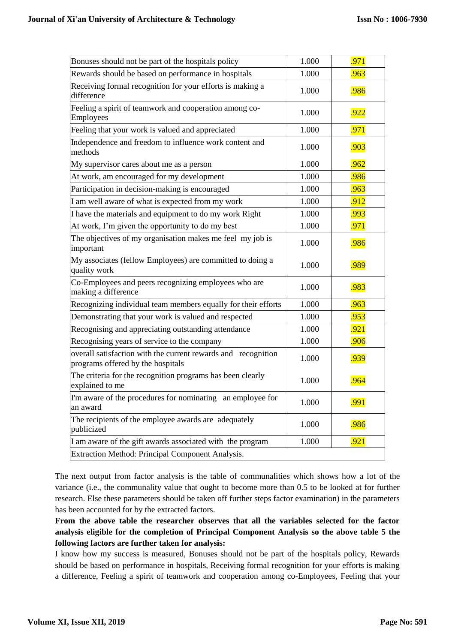| Bonuses should not be part of the hospitals policy                                                 | 1.000 | .971 |
|----------------------------------------------------------------------------------------------------|-------|------|
| Rewards should be based on performance in hospitals                                                | 1.000 | .963 |
| Receiving formal recognition for your efforts is making a<br>difference                            | 1.000 | .986 |
| Feeling a spirit of teamwork and cooperation among co-<br>Employees                                | 1.000 | .922 |
| Feeling that your work is valued and appreciated                                                   | 1.000 | .971 |
| Independence and freedom to influence work content and<br>methods                                  | 1.000 | .903 |
| My supervisor cares about me as a person                                                           | 1.000 | .962 |
| At work, am encouraged for my development                                                          | 1.000 | .986 |
| Participation in decision-making is encouraged                                                     | 1.000 | .963 |
| I am well aware of what is expected from my work                                                   | 1.000 | .912 |
| I have the materials and equipment to do my work Right                                             | 1.000 | .993 |
| At work, I'm given the opportunity to do my best                                                   | 1.000 | .971 |
| The objectives of my organisation makes me feel my job is<br>important                             | 1.000 | .986 |
| My associates (fellow Employees) are committed to doing a<br>quality work                          | 1.000 | .989 |
| Co-Employees and peers recognizing employees who are<br>making a difference                        | 1.000 | .983 |
| Recognizing individual team members equally for their efforts                                      | 1.000 | .963 |
| Demonstrating that your work is valued and respected                                               | 1.000 | .953 |
| Recognising and appreciating outstanding attendance                                                | 1.000 | .921 |
| Recognising years of service to the company                                                        | 1.000 | .906 |
| overall satisfaction with the current rewards and recognition<br>programs offered by the hospitals | 1.000 | .939 |
| The criteria for the recognition programs has been clearly<br>explained to me                      | 1.000 | .964 |
| I'm aware of the procedures for nominating an employee for<br>an award                             | 1.000 | .991 |
| The recipients of the employee awards are adequately<br>publicized                                 | 1.000 | .986 |
| I am aware of the gift awards associated with the program                                          | 1.000 | .921 |
| Extraction Method: Principal Component Analysis.                                                   |       |      |

The next output from factor analysis is the table of communalities which shows how a lot of the variance (i.e., the communality value that ought to become more than 0.5 to be looked at for further research. Else these parameters should be taken off further steps factor examination) in the parameters has been accounted for by the extracted factors.

**From the above table the researcher observes that all the variables selected for the factor analysis eligible for the completion of Principal Component Analysis so the above table 5 the following factors are further taken for analysis:**

I know how my success is measured, Bonuses should not be part of the hospitals policy, Rewards should be based on performance in hospitals, Receiving formal recognition for your efforts is making a difference, Feeling a spirit of teamwork and cooperation among co-Employees, Feeling that your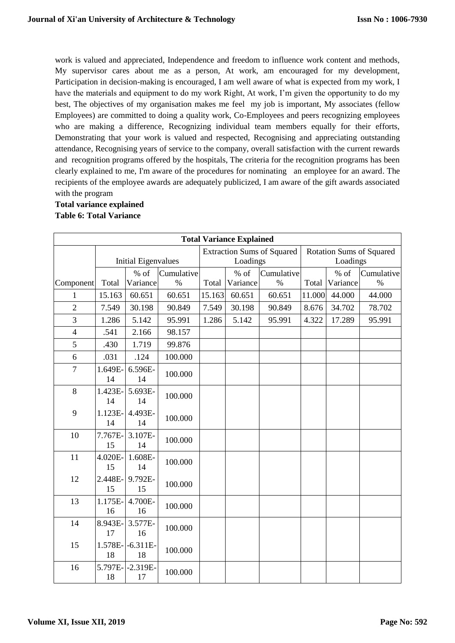work is valued and appreciated, Independence and freedom to influence work content and methods, My supervisor cares about me as a person, At work, am encouraged for my development, Participation in decision-making is encouraged, I am well aware of what is expected from my work, I have the materials and equipment to do my work Right, At work, I'm given the opportunity to do my best, The objectives of my organisation makes me feel my job is important, My associates (fellow Employees) are committed to doing a quality work, Co-Employees and peers recognizing employees who are making a difference, Recognizing individual team members equally for their efforts, Demonstrating that your work is valued and respected, Recognising and appreciating outstanding attendance, Recognising years of service to the company, overall satisfaction with the current rewards and recognition programs offered by the hospitals, The criteria for the recognition programs has been clearly explained to me, I'm aware of the procedures for nominating an employee for an award. The recipients of the employee awards are adequately publicized, I am aware of the gift awards associated with the program

## **Total variance explained Table 6: Total Variance**

| <b>Total Variance Explained</b> |               |                     |            |        |          |                                   |                                 |          |            |  |  |  |
|---------------------------------|---------------|---------------------|------------|--------|----------|-----------------------------------|---------------------------------|----------|------------|--|--|--|
|                                 |               |                     |            |        |          | <b>Extraction Sums of Squared</b> | <b>Rotation Sums of Squared</b> |          |            |  |  |  |
|                                 |               | Initial Eigenvalues |            |        | Loadings |                                   | Loadings                        |          |            |  |  |  |
|                                 |               | $%$ of              | Cumulative |        | $%$ of   | Cumulative                        |                                 | $%$ of   | Cumulative |  |  |  |
| Component                       | Total         | Variance            | $\%$       | Total  | Variance | $\%$                              | Total                           | Variance | $\%$       |  |  |  |
| 1                               | 15.163        | 60.651              | 60.651     | 15.163 | 60.651   | 60.651                            | 11.000                          | 44.000   | 44.000     |  |  |  |
| $\overline{2}$                  | 7.549         | 30.198              | 90.849     | 7.549  | 30.198   | 90.849                            | 8.676                           | 34.702   | 78.702     |  |  |  |
| 3                               | 1.286         | 5.142               | 95.991     | 1.286  | 5.142    | 95.991                            | 4.322                           | 17.289   | 95.991     |  |  |  |
| $\overline{4}$                  | .541          | 2.166               | 98.157     |        |          |                                   |                                 |          |            |  |  |  |
| 5                               | .430          | 1.719               | 99.876     |        |          |                                   |                                 |          |            |  |  |  |
| 6                               | .031          | .124                | 100.000    |        |          |                                   |                                 |          |            |  |  |  |
| $\overline{7}$                  | 1.649E-<br>14 | 6.596E-<br>14       | 100.000    |        |          |                                   |                                 |          |            |  |  |  |
| 8                               | 1.423E-<br>14 | 5.693E-<br>14       | 100.000    |        |          |                                   |                                 |          |            |  |  |  |
| 9                               | 1.123E-<br>14 | 4.493E-<br>14       | 100.000    |        |          |                                   |                                 |          |            |  |  |  |
| 10                              | 7.767E-<br>15 | 3.107E-<br>14       | 100.000    |        |          |                                   |                                 |          |            |  |  |  |
| 11                              | 4.020E-<br>15 | 1.608E-<br>14       | 100.000    |        |          |                                   |                                 |          |            |  |  |  |
| 12                              | 2.448E-<br>15 | 9.792E-<br>15       | 100.000    |        |          |                                   |                                 |          |            |  |  |  |
| 13                              | 1.175E-<br>16 | 4.700E-<br>16       | 100.000    |        |          |                                   |                                 |          |            |  |  |  |
| 14                              | 8.943E-<br>17 | 3.577E-<br>16       | 100.000    |        |          |                                   |                                 |          |            |  |  |  |
| 15                              | 1.578E-<br>18 | $-6.311E-$<br>18    | 100.000    |        |          |                                   |                                 |          |            |  |  |  |
| 16                              | 5.797E-<br>18 | $-2.319E-$<br>17    | 100.000    |        |          |                                   |                                 |          |            |  |  |  |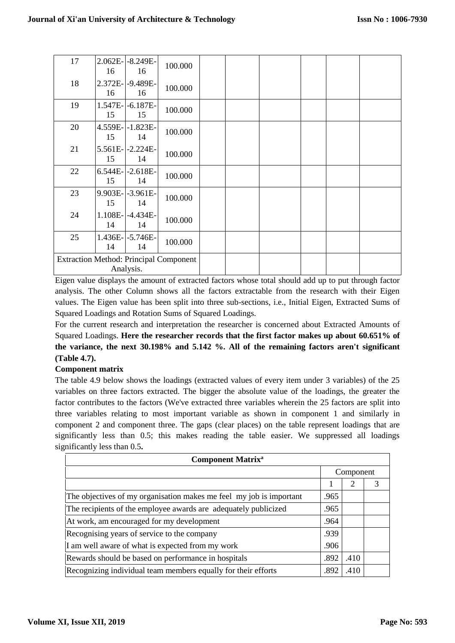| 17                                                         | 16            | 2.062E- -8.249E-<br>16  | 100.000 |  |  |  |
|------------------------------------------------------------|---------------|-------------------------|---------|--|--|--|
| 18                                                         | 16            | 2.372E- - 9.489E-<br>16 | 100.000 |  |  |  |
| 19                                                         | 15            | 1.547E-1-6.187E-<br>15  | 100.000 |  |  |  |
| 20                                                         | 15            | 4.559E-1.823E-<br>14    | 100.000 |  |  |  |
| 21                                                         | 15            | 5.561E-2.224E-<br>14    | 100.000 |  |  |  |
| 22                                                         | 6.544E-<br>15 | $-2.618E-$<br>14        | 100.000 |  |  |  |
| 23                                                         | 9.903E-<br>15 | $-3.961E-$<br>14        | 100.000 |  |  |  |
| 24                                                         | 1.108E-<br>14 | $-4.434E-$<br>14        | 100.000 |  |  |  |
| 25                                                         | 14            | 1.436E-1-5.746E-<br>14  | 100.000 |  |  |  |
| <b>Extraction Method: Principal Component</b><br>Analysis. |               |                         |         |  |  |  |

Eigen value displays the amount of extracted factors whose total should add up to put through factor analysis. The other Column shows all the factors extractable from the research with their Eigen values. The Eigen value has been split into three sub-sections, i.e., Initial Eigen, Extracted Sums of Squared Loadings and Rotation Sums of Squared Loadings.

For the current research and interpretation the researcher is concerned about Extracted Amounts of Squared Loadings. **Here the researcher records that the first factor makes up about 60.651% of the variance, the next 30.198% and 5.142 %. All of the remaining factors aren't significant (Table 4.7).**

## **Component matrix**

The table 4.9 below shows the loadings (extracted values of every item under 3 variables) of the 25 variables on three factors extracted. The bigger the absolute value of the loadings, the greater the factor contributes to the factors (We've extracted three variables wherein the 25 factors are split into three variables relating to most important variable as shown in component 1 and similarly in component 2 and component three. The gaps (clear places) on the table represent loadings that are significantly less than 0.5; this makes reading the table easier. We suppressed all loadings significantly less than 0.5**.**

| <b>Component Matrix<sup>a</sup></b>                                 |      |                       |  |
|---------------------------------------------------------------------|------|-----------------------|--|
|                                                                     |      | Component             |  |
|                                                                     |      | $\mathcal{D}_{\cdot}$ |  |
| The objectives of my organisation makes me feel my job is important | .965 |                       |  |
| The recipients of the employee awards are adequately publicized     |      |                       |  |
| At work, am encouraged for my development                           |      |                       |  |
| Recognising years of service to the company                         |      |                       |  |
| I am well aware of what is expected from my work                    |      |                       |  |
| Rewards should be based on performance in hospitals                 |      | .410                  |  |
| Recognizing individual team members equally for their efforts       |      | .410                  |  |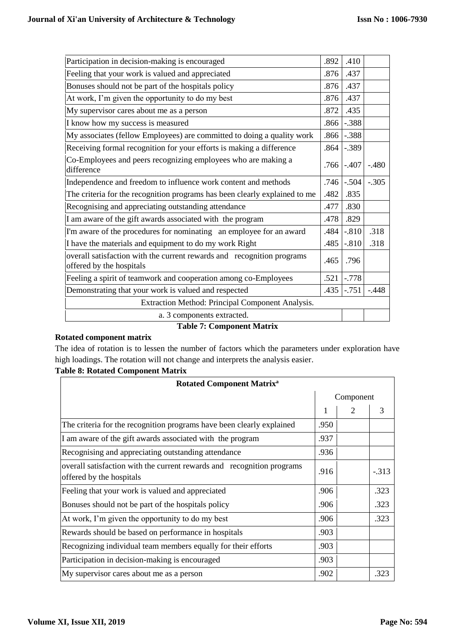| Participation in decision-making is encouraged                                                             | .892 | .410           |         |  |
|------------------------------------------------------------------------------------------------------------|------|----------------|---------|--|
| Feeling that your work is valued and appreciated<br>.876                                                   |      |                |         |  |
| Bonuses should not be part of the hospitals policy                                                         | .876 | .437           |         |  |
| At work, I'm given the opportunity to do my best                                                           | .876 | .437           |         |  |
| My supervisor cares about me as a person                                                                   | .872 | .435           |         |  |
| I know how my success is measured                                                                          | .866 | $-.388$        |         |  |
| My associates (fellow Employees) are committed to doing a quality work                                     | .866 | $-.388$        |         |  |
| Receiving formal recognition for your efforts is making a difference                                       | .864 | $-.389$        |         |  |
| Co-Employees and peers recognizing employees who are making a<br>difference                                | .766 | $-.407$        | $-.480$ |  |
| Independence and freedom to influence work content and methods                                             | .746 | $-.504$        | $-.305$ |  |
| The criteria for the recognition programs has been clearly explained to me<br>.482                         |      | .835           |         |  |
| Recognising and appreciating outstanding attendance<br>.477                                                |      |                |         |  |
| I am aware of the gift awards associated with the program<br>.478                                          |      |                |         |  |
| I'm aware of the procedures for nominating an employee for an award<br>.484                                |      |                | .318    |  |
| I have the materials and equipment to do my work Right<br>.485                                             |      |                | .318    |  |
| overall satisfaction with the current rewards and recognition programs<br>.465<br>offered by the hospitals |      |                |         |  |
| Feeling a spirit of teamwork and cooperation among co-Employees<br>.521                                    |      |                |         |  |
| Demonstrating that your work is valued and respected                                                       |      | $.435$ $-.751$ | $-.448$ |  |
| Extraction Method: Principal Component Analysis.                                                           |      |                |         |  |
| a. 3 components extracted.                                                                                 |      |                |         |  |
| <b>Table 7: Component Matrix</b>                                                                           |      |                |         |  |

## **Rotated component matrix**

The idea of rotation is to lessen the number of factors which the parameters under exploration have high loadings. The rotation will not change and interprets the analysis easier.

## **Table 8: Rotated Component Matrix**

| <b>Rotated Component Matrix<sup>a</sup></b>                                                        |      |           |         |
|----------------------------------------------------------------------------------------------------|------|-----------|---------|
|                                                                                                    |      | Component |         |
|                                                                                                    | 1    | 2         | 3       |
| The criteria for the recognition programs have been clearly explained                              | .950 |           |         |
| I am aware of the gift awards associated with the program                                          | .937 |           |         |
| Recognising and appreciating outstanding attendance                                                | .936 |           |         |
| overall satisfaction with the current rewards and recognition programs<br>offered by the hospitals | .916 |           | $-.313$ |
| Feeling that your work is valued and appreciated                                                   | .906 |           | .323    |
| Bonuses should not be part of the hospitals policy                                                 | .906 |           | .323    |
| At work, I'm given the opportunity to do my best                                                   | .906 |           | .323    |
| Rewards should be based on performance in hospitals                                                | .903 |           |         |
| Recognizing individual team members equally for their efforts                                      | .903 |           |         |
| Participation in decision-making is encouraged                                                     | .903 |           |         |
| My supervisor cares about me as a person                                                           | .902 |           | .323    |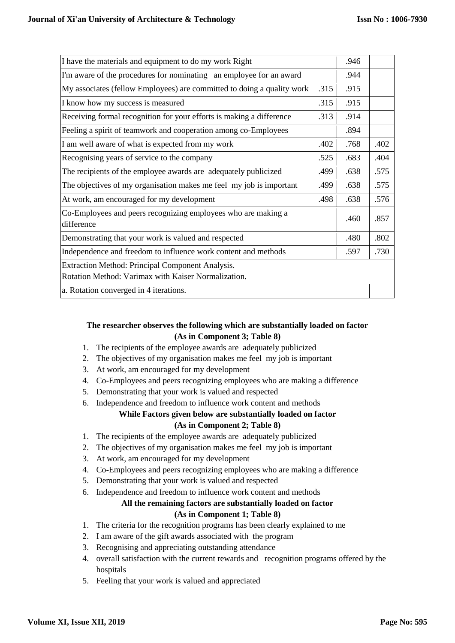| I have the materials and equipment to do my work Right                                                  |      | .946 |      |
|---------------------------------------------------------------------------------------------------------|------|------|------|
| I'm aware of the procedures for nominating an employee for an award                                     |      | .944 |      |
| My associates (fellow Employees) are committed to doing a quality work                                  | .315 | .915 |      |
| I know how my success is measured                                                                       | .315 | .915 |      |
| Receiving formal recognition for your efforts is making a difference                                    | .313 | .914 |      |
| Feeling a spirit of teamwork and cooperation among co-Employees                                         |      | .894 |      |
| I am well aware of what is expected from my work                                                        | .402 | .768 | .402 |
| Recognising years of service to the company                                                             | .525 | .683 | .404 |
| The recipients of the employee awards are adequately publicized                                         | .499 | .638 | .575 |
| The objectives of my organisation makes me feel my job is important                                     | .499 | .638 | .575 |
| At work, am encouraged for my development                                                               | .498 | .638 | .576 |
| Co-Employees and peers recognizing employees who are making a<br>difference                             |      | .460 | .857 |
| Demonstrating that your work is valued and respected                                                    |      | .480 | .802 |
| Independence and freedom to influence work content and methods                                          |      | .597 | .730 |
| Extraction Method: Principal Component Analysis.<br>Rotation Method: Varimax with Kaiser Normalization. |      |      |      |
| a. Rotation converged in 4 iterations.                                                                  |      |      |      |

## **The researcher observes the following which are substantially loaded on factor (As in Component 3; Table 8)**

- 1. The recipients of the employee awards are adequately publicized
- 2. The objectives of my organisation makes me feel my job is important
- 3. At work, am encouraged for my development
- 4. Co-Employees and peers recognizing employees who are making a difference
- 5. Demonstrating that your work is valued and respected
- 6. Independence and freedom to influence work content and methods

# **While Factors given below are substantially loaded on factor**

## **(As in Component 2; Table 8)**

- 1. The recipients of the employee awards are adequately publicized
- 2. The objectives of my organisation makes me feel my job is important
- 3. At work, am encouraged for my development
- 4. Co-Employees and peers recognizing employees who are making a difference
- 5. Demonstrating that your work is valued and respected
- 6. Independence and freedom to influence work content and methods

## **All the remaining factors are substantially loaded on factor**

## **(As in Component 1; Table 8)**

- 1. The criteria for the recognition programs has been clearly explained to me
- 2. I am aware of the gift awards associated with the program
- 3. Recognising and appreciating outstanding attendance
- 4. overall satisfaction with the current rewards and recognition programs offered by the hospitals
- 5. Feeling that your work is valued and appreciated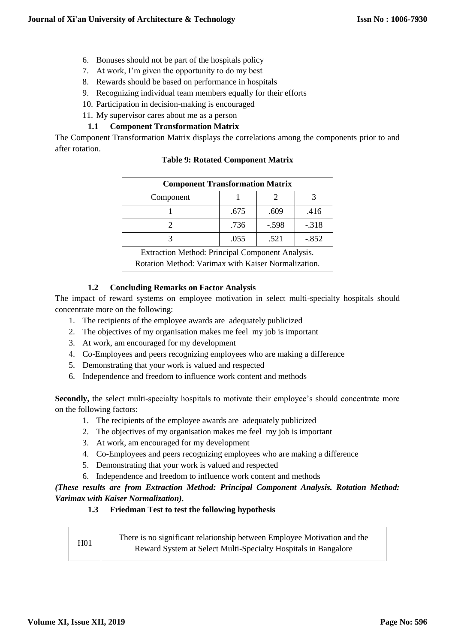- 6. Bonuses should not be part of the hospitals policy
- 7. At work, I'm given the opportunity to do my best
- 8. Rewards should be based on performance in hospitals
- 9. Recognizing individual team members equally for their efforts
- 10. Participation in decision-making is encouraged
- 11. My supervisor cares about me as a person

## **1.1 Component Tr***a***nsformation Matrix**

The Component Transformation Matrix displays the correlations among the components prior to and after rotation.

|  | <b>Table 9: Rotated Component Matrix</b> |
|--|------------------------------------------|
|--|------------------------------------------|

| <b>Component Transformation Matrix</b>                                                                                                                                                                                                                            |      |         |         |  |
|-------------------------------------------------------------------------------------------------------------------------------------------------------------------------------------------------------------------------------------------------------------------|------|---------|---------|--|
| Component                                                                                                                                                                                                                                                         |      |         |         |  |
|                                                                                                                                                                                                                                                                   | .675 | .609    | .416    |  |
|                                                                                                                                                                                                                                                                   | .736 | $-.598$ | $-.318$ |  |
|                                                                                                                                                                                                                                                                   | .055 | .521    | $-.852$ |  |
| $\cdots$<br><b>Production</b> of the state of the state of the state of the state of the state of the state of the state of the state of the state of the state of the state of the state of the state of the state of the state of the state o<br>$\overline{1}$ |      |         |         |  |

Extraction Method: Principal Component Analysis. Rotation Method: Varimax with Kaiser Normalization.

## **1.2 Concluding Remarks on Factor Analysis**

The impact of reward systems on employee motivation in select multi-specialty hospitals should concentrate more on the following:

- 1. The recipients of the employee awards are adequately publicized
- 2. The objectives of my organisation makes me feel my job is important
- 3. At work, am encouraged for my development
- 4. Co-Employees and peers recognizing employees who are making a difference
- 5. Demonstrating that your work is valued and respected
- 6. Independence and freedom to influence work content and methods

**Secondly,** the select multi-specialty hospitals to motivate their employee's should concentrate more on the following factors:

- 1. The recipients of the employee awards are adequately publicized
- 2. The objectives of my organisation makes me feel my job is important
- 3. At work, am encouraged for my development
- 4. Co-Employees and peers recognizing employees who are making a difference
- 5. Demonstrating that your work is valued and respected
- 6. Independence and freedom to influence work content and methods

*(These results are from Extraction Method: Principal Component Analysis. Rotation Method: Varimax with Kaiser Normalization).*

## **1.3 Friedman Test to test the following hypothesis**

H01 There is no significant relationship between Employee Motivation and the Reward System at Select Multi-Specialty Hospitals in Bangalore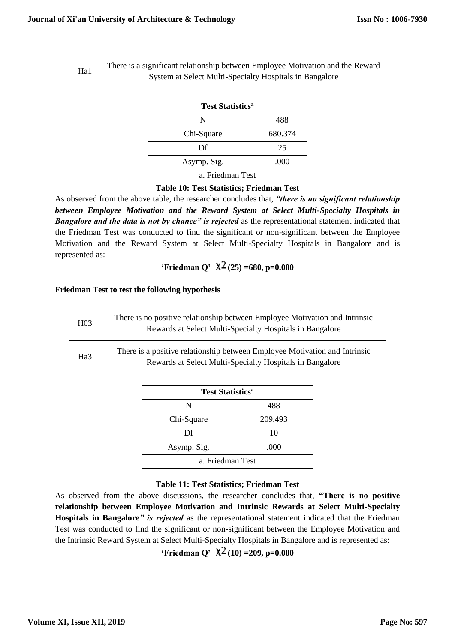Ha1 There is a significant relationship between Employee Motivation and the Reward System at Select Multi-Specialty Hospitals in Bangalore

| <b>Test Statistics<sup>a</sup></b> |         |  |  |
|------------------------------------|---------|--|--|
| N                                  | 488     |  |  |
| Chi-Square                         | 680.374 |  |  |
| Df                                 | 25      |  |  |
| Asymp. Sig.                        | .000    |  |  |
| a. Friedman Test                   |         |  |  |

## **Table 10: Test Statistics; Friedman Test**

As observed from the above table, the researcher concludes that, *"there is no significant relationship between Employee Motivation and the Reward System at Select Multi-Specialty Hospitals in* **Bangalore and the data is not by chance" is rejected** as the representational statement indicated that the Friedman Test was conducted to find the significant or non-significant between the Employee Motivation and the Reward System at Select Multi-Specialty Hospitals in Bangalore and is represented as:

# **'Friedman Q'**  $\chi^2$  (25) =680, p=0.000

## **Friedman Test to test the following hypothesis**

| H <sub>03</sub> | There is no positive relationship between Employee Motivation and Intrinsic<br>Rewards at Select Multi-Specialty Hospitals in Bangalore |
|-----------------|-----------------------------------------------------------------------------------------------------------------------------------------|
| Ha <sub>3</sub> | There is a positive relationship between Employee Motivation and Intrinsic<br>Rewards at Select Multi-Specialty Hospitals in Bangalore  |

| <b>Test Statistics<sup>a</sup></b> |         |  |  |
|------------------------------------|---------|--|--|
| N                                  | 488     |  |  |
| Chi-Square                         | 209.493 |  |  |
| Df                                 | 10      |  |  |
| Asymp. Sig.<br>.000                |         |  |  |
| a. Friedman Test                   |         |  |  |

## **Table 11: Test Statistics; Friedman Test**

As observed from the above discussions, the researcher concludes that, **"There is no positive relationship between Employee Motivation and Intrinsic Rewards at Select Multi-Specialty Hospitals in Bangalore***" is rejected* as the representational statement indicated that the Friedman Test was conducted to find the significant or non-significant between the Employee Motivation and the Intrinsic Reward System at Select Multi-Specialty Hospitals in Bangalore and is represented as:

**'Friedman Q'**  $\chi^2$  (10) = 209, p=0.000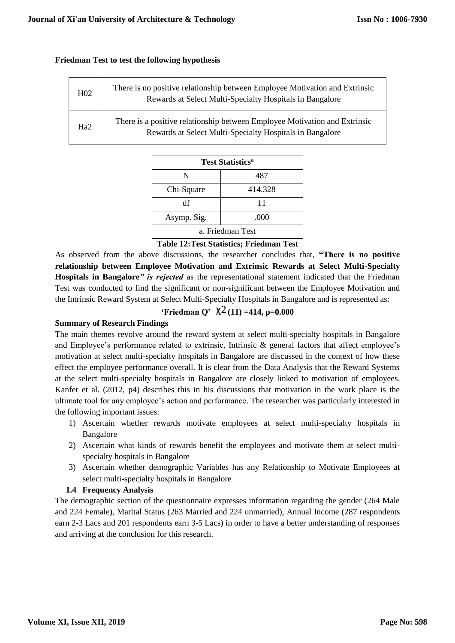## **Friedman Test to test the following hypothesis**

| H <sub>02</sub> | There is no positive relationship between Employee Motivation and Extrinsic<br>Rewards at Select Multi-Specialty Hospitals in Bangalore |
|-----------------|-----------------------------------------------------------------------------------------------------------------------------------------|
| Ha2             | There is a positive relationship between Employee Motivation and Extrinsic<br>Rewards at Select Multi-Specialty Hospitals in Bangalore  |

| <b>Test Statistics<sup>a</sup></b> |         |  |  |
|------------------------------------|---------|--|--|
| N                                  | 487     |  |  |
| Chi-Square                         | 414.328 |  |  |
| df                                 | 11      |  |  |
| Asymp. Sig.                        | .000    |  |  |
| a. Friedman Test                   |         |  |  |

## **Table 12:Test Statistics; Friedman Test**

As observed from the above discussions, the researcher concludes that, **"There is no positive relationship between Employee Motivation and Extrinsic Rewards at Select Multi-Specialty Hospitals in Bangalore***" is rejected* as the representational statement indicated that the Friedman Test was conducted to find the significant or non-significant between the Employee Motivation and the Intrinsic Reward System at Select Multi-Specialty Hospitals in Bangalore and is represented as:

## **'Friedman Q'**  $\chi^2$  (11) =414, p=0.000

## **Summary of Research Findings**

The main themes revolve around the reward system at select multi-specialty hospitals in Bangalore and Employee's performance related to extrinsic, Intrinsic & general factors that affect employee's motivation at select multi-specialty hospitals in Bangalore are discussed in the context of how these effect the employee performance overall. It is clear from the Data Analysis that the Reward Systems at the select multi-specialty hospitals in Bangalore are closely linked to motivation of employees. Kanfer et al. (2012, p4) describes this in his discussions that motivation in the work place is the ultimate tool for any employee's action and performance. The researcher was particularly interested in the following important issues:

- 1) Ascertain whether rewards motivate employees at select multi-specialty hospitals in Bangalore
- 2) Ascertain what kinds of rewards benefit the employees and motivate them at select multispecialty hospitals in Bangalore
- 3) Ascertain whether demographic Variables has any Relationship to Motivate Employees at select multi-specialty hospitals in Bangalore

## **1.4 Frequency Analysis**

The demographic section of the questionnaire expresses information regarding the gender (264 Male and 224 Female), Marital Status (263 Married and 224 unmarried), Annual Income (287 respondents earn 2-3 Lacs and 201 respondents earn 3-5 Lacs) in order to have a better understanding of responses and arriving at the conclusion for this research.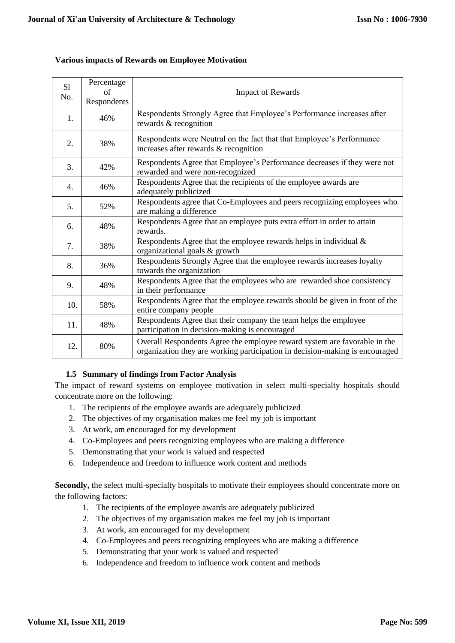## **Various impacts of Rewards on Employee Motivation**

| S1<br>No. | Percentage<br>of<br>Respondents | <b>Impact of Rewards</b>                                                                                                                                  |
|-----------|---------------------------------|-----------------------------------------------------------------------------------------------------------------------------------------------------------|
| 1.        | 46%                             | Respondents Strongly Agree that Employee's Performance increases after<br>rewards & recognition                                                           |
| 2.        | 38%                             | Respondents were Neutral on the fact that that Employee's Performance<br>increases after rewards & recognition                                            |
| 3.        | 42%                             | Respondents Agree that Employee's Performance decreases if they were not<br>rewarded and were non-recognized                                              |
| 4.        | 46%                             | Respondents Agree that the recipients of the employee awards are<br>adequately publicized                                                                 |
| 5.        | 52%                             | Respondents agree that Co-Employees and peers recognizing employees who<br>are making a difference                                                        |
| 6.        | 48%                             | Respondents Agree that an employee puts extra effort in order to attain<br>rewards.                                                                       |
| 7.        | 38%                             | Respondents Agree that the employee rewards helps in individual $\&$<br>organizational goals & growth                                                     |
| 8.        | 36%                             | Respondents Strongly Agree that the employee rewards increases loyalty<br>towards the organization                                                        |
| 9.        | 48%                             | Respondents Agree that the employees who are rewarded shoe consistency<br>in their performance                                                            |
| 10.       | 58%                             | Respondents Agree that the employee rewards should be given in front of the<br>entire company people                                                      |
| 11.       | 48%                             | Respondents Agree that their company the team helps the employee<br>participation in decision-making is encouraged                                        |
| 12.       | 80%                             | Overall Respondents Agree the employee reward system are favorable in the<br>organization they are working participation in decision-making is encouraged |

## **1.5 Summary of findings from Factor Analysis**

The impact of reward systems on employee motivation in select multi-specialty hospitals should concentrate more on the following:

- 1. The recipients of the employee awards are adequately publicized
- 2. The objectives of my organisation makes me feel my job is important
- 3. At work, am encouraged for my development
- 4. Co-Employees and peers recognizing employees who are making a difference
- 5. Demonstrating that your work is valued and respected
- 6. Independence and freedom to influence work content and methods

**Secondly,** the select multi-specialty hospitals to motivate their employees should concentrate more on the following factors:

- 1. The recipients of the employee awards are adequately publicized
- 2. The objectives of my organisation makes me feel my job is important
- 3. At work, am encouraged for my development
- 4. Co-Employees and peers recognizing employees who are making a difference
- 5. Demonstrating that your work is valued and respected
- 6. Independence and freedom to influence work content and methods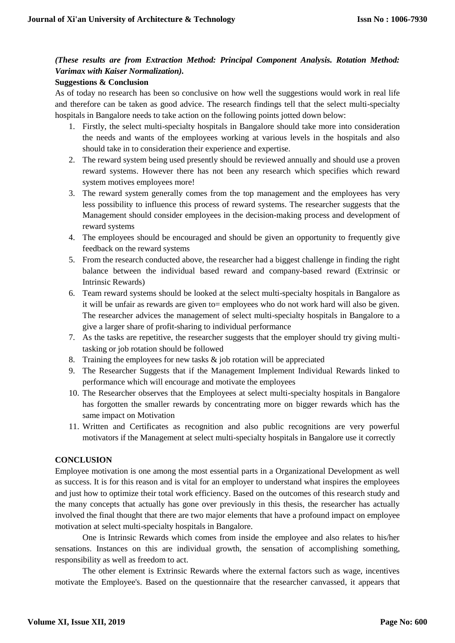## *(These results are from Extraction Method: Principal Component Analysis. Rotation Method: Varimax with Kaiser Normalization).*

## **Suggestions & Conclusion**

As of today no research has been so conclusive on how well the suggestions would work in real life and therefore can be taken as good advice. The research findings tell that the select multi-specialty hospitals in Bangalore needs to take action on the following points jotted down below:

- 1. Firstly, the select multi-specialty hospitals in Bangalore should take more into consideration the needs and wants of the employees working at various levels in the hospitals and also should take in to consideration their experience and expertise.
- 2. The reward system being used presently should be reviewed annually and should use a proven reward systems. However there has not been any research which specifies which reward system motives employees more!
- 3. The reward system generally comes from the top management and the employees has very less possibility to influence this process of reward systems. The researcher suggests that the Management should consider employees in the decision-making process and development of reward systems
- 4. The employees should be encouraged and should be given an opportunity to frequently give feedback on the reward systems
- 5. From the research conducted above, the researcher had a biggest challenge in finding the right balance between the individual based reward and company-based reward (Extrinsic or Intrinsic Rewards)
- 6. Team reward systems should be looked at the select multi-specialty hospitals in Bangalore as it will be unfair as rewards are given to= employees who do not work hard will also be given. The researcher advices the management of select multi-specialty hospitals in Bangalore to a give a larger share of profit-sharing to individual performance
- 7. As the tasks are repetitive, the researcher suggests that the employer should try giving multitasking or job rotation should be followed
- 8. Training the employees for new tasks  $\&$  job rotation will be appreciated
- 9. The Researcher Suggests that if the Management Implement Individual Rewards linked to performance which will encourage and motivate the employees
- 10. The Researcher observes that the Employees at select multi-specialty hospitals in Bangalore has forgotten the smaller rewards by concentrating more on bigger rewards which has the same impact on Motivation
- 11. Written and Certificates as recognition and also public recognitions are very powerful motivators if the Management at select multi-specialty hospitals in Bangalore use it correctly

## **CONCLUSION**

Employee motivation is one among the most essential parts in a Organizational Development as well as success. It is for this reason and is vital for an employer to understand what inspires the employees and just how to optimize their total work efficiency. Based on the outcomes of this research study and the many concepts that actually has gone over previously in this thesis, the researcher has actually involved the final thought that there are two major elements that have a profound impact on employee motivation at select multi-specialty hospitals in Bangalore.

One is Intrinsic Rewards which comes from inside the employee and also relates to his/her sensations. Instances on this are individual growth, the sensation of accomplishing something, responsibility as well as freedom to act.

The other element is Extrinsic Rewards where the external factors such as wage, incentives motivate the Employee's. Based on the questionnaire that the researcher canvassed, it appears that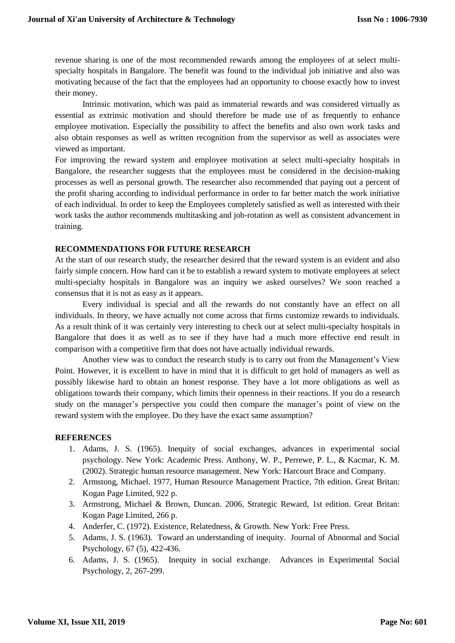revenue sharing is one of the most recommended rewards among the employees of at select multispecialty hospitals in Bangalore. The benefit was found to the individual job initiative and also was motivating because of the fact that the employees had an opportunity to choose exactly how to invest their money.

Intrinsic motivation, which was paid as immaterial rewards and was considered virtually as essential as extrinsic motivation and should therefore be made use of as frequently to enhance employee motivation. Especially the possibility to affect the benefits and also own work tasks and also obtain responses as well as written recognition from the supervisor as well as associates were viewed as important.

For improving the reward system and employee motivation at select multi-specialty hospitals in Bangalore, the researcher suggests that the employees must be considered in the decision-making processes as well as personal growth. The researcher also recommended that paying out a percent of the profit sharing according to individual performance in order to far better match the work initiative of each individual. In order to keep the Employees completely satisfied as well as interested with their work tasks the author recommends multitasking and job-rotation as well as consistent advancement in training.

## **RECOMMENDATIONS FOR FUTURE RESEARCH**

At the start of our research study, the researcher desired that the reward system is an evident and also fairly simple concern. How hard can it be to establish a reward system to motivate employees at select multi-specialty hospitals in Bangalore was an inquiry we asked ourselves? We soon reached a consensus that it is not as easy as it appears.

Every individual is special and all the rewards do not constantly have an effect on all individuals. In theory, we have actually not come across that firms customize rewards to individuals. As a result think of it was certainly very interesting to check out at select multi-specialty hospitals in Bangalore that does it as well as to see if they have had a much more effective end result in comparison with a competitive firm that does not have actually individual rewards.

Another view was to conduct the research study is to carry out from the Management's View Point. However, it is excellent to have in mind that it is difficult to get hold of managers as well as possibly likewise hard to obtain an honest response. They have a lot more obligations as well as obligations towards their company, which limits their openness in their reactions. If you do a research study on the manager's perspective you could then compare the manager's point of view on the reward system with the employee. Do they have the exact same assumption?

## **REFERENCES**

- 1. Adams, J. S. (1965). Inequity of social exchanges, advances in experimental social psychology. New York: Academic Press. Anthony, W. P., Perrewe, P. L., & Kacmar, K. M. (2002). Strategic human resource management. New York: Harcourt Brace and Company.
- 2. Armstong, Michael. 1977, Human Resource Management Practice, 7th edition. Great Britan: Kogan Page Limited, 922 p.
- 3. Armstrong, Michael & Brown, Duncan. 2006, Strategic Reward, 1st edition. Great Britan: Kogan Page Limited, 266 p.
- 4. Anderfer, C. (1972). Existence, Relatedness, & Growth. New York: Free Press.
- 5. Adams, J. S. (1963). Toward an understanding of inequity. Journal of Abnormal and Social Psychology, 67 (5), 422-436.
- 6. Adams, J. S. (1965). Inequity in social exchange. Advances in Experimental Social Psychology, 2, 267-299.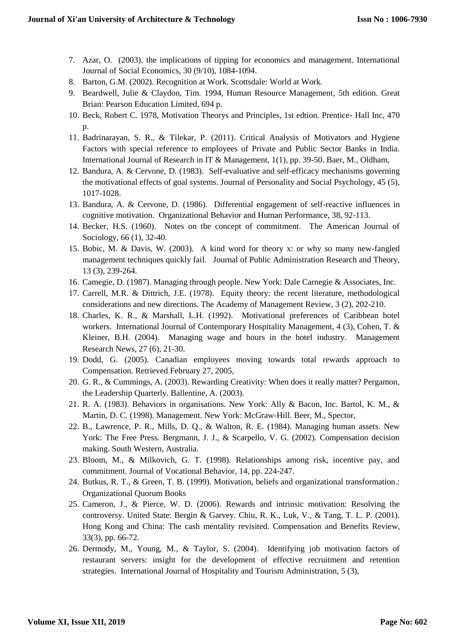- 7. Azar, O. (2003). the implications of tipping for economics and management. International Journal of Social Economics, 30 (9/10), 1084-1094.
- 8. Barton, G.M. (2002). Recognition at Work. Scottsdale: World at Work.
- 9. Beardwell, Julie & Claydon, Tim. 1994, Human Resource Management, 5th edition. Great Brian: Pearson Education Limited, 694 p.
- 10. Beck, Robert C. 1978, Motivation Theorys and Principles, 1st edtion. Prentice- Hall Inc, 470 p.
- 11. Badrinarayan, S. R., & Tilekar, P. (2011). Critical Analysis of Motivators and Hygiene Factors with special reference to employees of Private and Public Sector Banks in India. International Journal of Research in IT & Management, 1(1), pp. 39-50. Baer, M., Oldham,
- 12. Bandura, A. & Cervone, D. (1983). Self-evaluative and self-efficacy mechanisms governing the motivational effects of goal systems. Journal of Personality and Social Psychology, 45 (5), 1017-1028.
- 13. Bandura, A. & Cervone, D. (1986). Differential engagement of self-reactive influences in cognitive motivation. Organizational Behavior and Human Performance, 38, 92-113.
- 14. Becker, H.S. (1960). Notes on the concept of commitment. The American Journal of Sociology, 66 (1), 32-40.
- 15. Bobic, M. & Davis, W. (2003). A kind word for theory x: or why so many new-fangled management techniques quickly fail. Journal of Public Administration Research and Theory, 13 (3), 239-264.
- 16. Camegie, D. (1987). Managing through people. New York: Dale Carnegie & Associates, Inc.
- 17. Carrell, M.R. & Dittrich, J.E. (1978). Equity theory: the recent literature, methodological considerations and new directions. The Academy of Management Review, 3 (2), 202-210.
- 18. Charles, K. R., & Marshall, L.H. (1992). Motivational preferences of Caribbean hotel workers. International Journal of Contemporary Hospitality Management, 4 (3), Cohen, T. & Kleiner, B.H. (2004). Managing wage and hours in the hotel industry. Management Research News, 27 (6), 21-30.
- 19. Dodd, G. (2005). Canadian employees moving towards total rewards approach to Compensation. Retrieved February 27, 2005,
- 20. G. R., & Cummings, A. (2003). Rewarding Creativity: When does it really matter? Pergamon, the Leadership Quarterly. Ballentine, A. (2003).
- 21. R. A. (1983). Behaviors in organisations. New York: Ally & Bacon, Inc. Bartol, K. M., & Martin, D. C. (1998). Management. New York: McGraw-Hill. Beer, M., Spector,
- 22. B., Lawrence, P. R., Mills, D. Q., & Walton, R. E. (1984). Managing human assets. New York: The Free Press. Bergmann, J. J., & Scarpello, V. G. (2002). Compensation decision making. South Western, Australia.
- 23. Bloom, M., & Milkovich, G. T. (1998). Relationships among risk, incentive pay, and commitment. Journal of Vocational Behavior, 14, pp. 224-247.
- 24. Butkus, R. T., & Green, T. B. (1999). Motivation, beliefs and organizational transformation.: Organizational Quorum Books
- 25. Cameron, J., & Pierce, W. D. (2006). Rewards and intrinsic motivation: Resolving the controversy. United State: Bergin & Garvey. Chiu, R. K., Luk, V., & Tang, T. L. P. (2001). Hong Kong and China: The cash mentality revisited. Compensation and Benefits Review, 33(3), pp. 66-72.
- 26. Dermody, M., Young, M., & Taylor, S. (2004). Identifying job motivation factors of restaurant servers: insight for the development of effective recruitment and retention strategies. International Journal of Hospitality and Tourism Administration, 5 (3),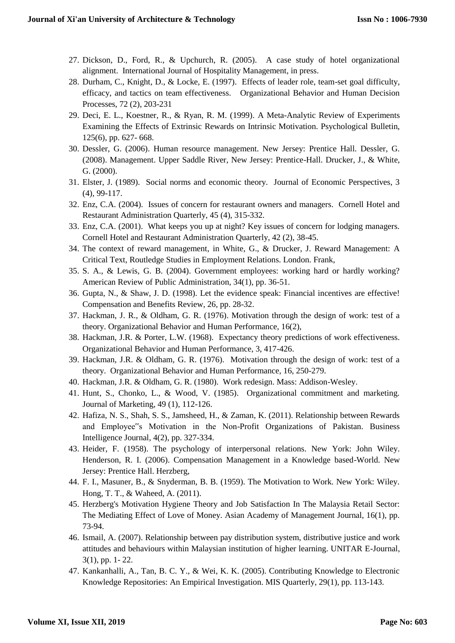- 27. Dickson, D., Ford, R., & Upchurch, R. (2005). A case study of hotel organizational alignment. International Journal of Hospitality Management, in press.
- 28. Durham, C., Knight, D., & Locke, E. (1997). Effects of leader role, team-set goal difficulty, efficacy, and tactics on team effectiveness. Organizational Behavior and Human Decision Processes, 72 (2), 203-231
- 29. Deci, E. L., Koestner, R., & Ryan, R. M. (1999). A Meta-Analytic Review of Experiments Examining the Effects of Extrinsic Rewards on Intrinsic Motivation. Psychological Bulletin, 125(6), pp. 627- 668.
- 30. Dessler, G. (2006). Human resource management. New Jersey: Prentice Hall. Dessler, G. (2008). Management. Upper Saddle River, New Jersey: Prentice-Hall. Drucker, J., & White, G. (2000).
- 31. Elster, J. (1989). Social norms and economic theory. Journal of Economic Perspectives, 3 (4), 99-117.
- 32. Enz, C.A. (2004). Issues of concern for restaurant owners and managers. Cornell Hotel and Restaurant Administration Quarterly, 45 (4), 315-332.
- 33. Enz, C.A. (2001). What keeps you up at night? Key issues of concern for lodging managers. Cornell Hotel and Restaurant Administration Quarterly, 42 (2), 38-45.
- 34. The context of reward management, in White, G., & Drucker, J. Reward Management: A Critical Text, Routledge Studies in Employment Relations. London. Frank,
- 35. S. A., & Lewis, G. B. (2004). Government employees: working hard or hardly working? American Review of Public Administration, 34(1), pp. 36-51.
- 36. Gupta, N., & Shaw, J. D. (1998). Let the evidence speak: Financial incentives are effective! Compensation and Benefits Review, 26, pp. 28-32.
- 37. Hackman, J. R., & Oldham, G. R. (1976). Motivation through the design of work: test of a theory. Organizational Behavior and Human Performance, 16(2),
- 38. Hackman, J.R. & Porter, L.W. (1968). Expectancy theory predictions of work effectiveness. Organizational Behavior and Human Performance, 3, 417-426.
- 39. Hackman, J.R. & Oldham, G. R. (1976). Motivation through the design of work: test of a theory. Organizational Behavior and Human Performance, 16, 250-279.
- 40. Hackman, J.R. & Oldham, G. R. (1980). Work redesign. Mass: Addison-Wesley.
- 41. Hunt, S., Chonko, L., & Wood, V. (1985). Organizational commitment and marketing. Journal of Marketing, 49 (1), 112-126.
- 42. Hafiza, N. S., Shah, S. S., Jamsheed, H., & Zaman, K. (2011). Relationship between Rewards and Employee"s Motivation in the Non-Profit Organizations of Pakistan. Business Intelligence Journal, 4(2), pp. 327-334.
- 43. Heider, F. (1958). The psychology of interpersonal relations. New York: John Wiley. Henderson, R. I. (2006). Compensation Management in a Knowledge based-World. New Jersey: Prentice Hall. Herzberg,
- 44. F. I., Masuner, B., & Snyderman, B. B. (1959). The Motivation to Work. New York: Wiley. Hong, T. T., & Waheed, A. (2011).
- 45. Herzberg's Motivation Hygiene Theory and Job Satisfaction In The Malaysia Retail Sector: The Mediating Effect of Love of Money. Asian Academy of Management Journal, 16(1), pp. 73-94.
- 46. Ismail, A. (2007). Relationship between pay distribution system, distributive justice and work attitudes and behaviours within Malaysian institution of higher learning. UNITAR E-Journal, 3(1), pp. 1- 22.
- 47. Kankanhalli, A., Tan, B. C. Y., & Wei, K. K. (2005). Contributing Knowledge to Electronic Knowledge Repositories: An Empirical Investigation. MIS Quarterly, 29(1), pp. 113-143.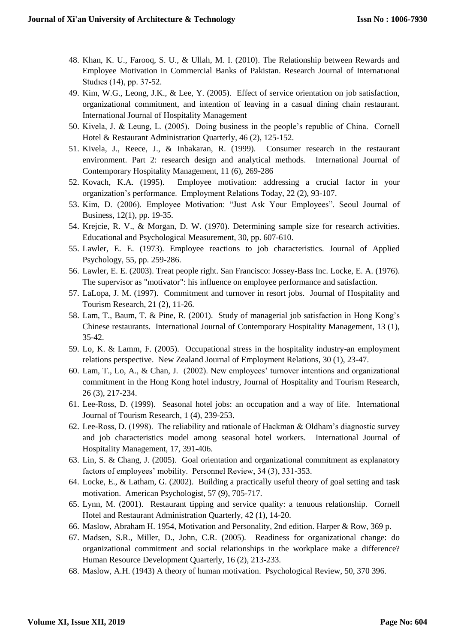- 48. Khan, K. U., Farooq, S. U., & Ullah, M. I. (2010). The Relationship between Rewards and Employee Motivation in Commercial Banks of Pakistan. Research Journal of Internatıonal Studıes (14), pp. 37-52.
- 49. Kim, W.G., Leong, J.K., & Lee, Y. (2005). Effect of service orientation on job satisfaction, organizational commitment, and intention of leaving in a casual dining chain restaurant. International Journal of Hospitality Management
- 50. Kivela, J. & Leung, L. (2005). Doing business in the people's republic of China. Cornell Hotel & Restaurant Administration Quarterly, 46 (2), 125-152.
- 51. Kivela, J., Reece, J., & Inbakaran, R. (1999). Consumer research in the restaurant environment. Part 2: research design and analytical methods. International Journal of Contemporary Hospitality Management, 11 (6), 269-286
- 52. Kovach, K.A. (1995). Employee motivation: addressing a crucial factor in your organization's performance. Employment Relations Today, 22 (2), 93-107.
- 53. Kim, D. (2006). Employee Motivation: "Just Ask Your Employees". Seoul Journal of Business, 12(1), pp. 19-35.
- 54. Krejcie, R. V., & Morgan, D. W. (1970). Determining sample size for research activities. Educational and Psychological Measurement, 30, pp. 607-610.
- 55. Lawler, E. E. (1973). Employee reactions to job characteristics. Journal of Applied Psychology, 55, pp. 259-286.
- 56. Lawler, E. E. (2003). Treat people right. San Francisco: Jossey-Bass Inc. Locke, E. A. (1976). The supervisor as "motivator": his influence on employee performance and satisfaction.
- 57. LaLopa, J. M. (1997). Commitment and turnover in resort jobs. Journal of Hospitality and Tourism Research, 21 (2), 11-26.
- 58. Lam, T., Baum, T. & Pine, R. (2001). Study of managerial job satisfaction in Hong Kong's Chinese restaurants. International Journal of Contemporary Hospitality Management, 13 (1), 35-42.
- 59. Lo, K. & Lamm, F. (2005). Occupational stress in the hospitality industry-an employment relations perspective. New Zealand Journal of Employment Relations, 30 (1), 23-47.
- 60. Lam, T., Lo, A., & Chan, J. (2002). New employees' turnover intentions and organizational commitment in the Hong Kong hotel industry, Journal of Hospitality and Tourism Research, 26 (3), 217-234.
- 61. Lee-Ross, D. (1999). Seasonal hotel jobs: an occupation and a way of life. International Journal of Tourism Research, 1 (4), 239-253.
- 62. Lee-Ross, D. (1998). The reliability and rationale of Hackman & Oldham's diagnostic survey and job characteristics model among seasonal hotel workers. International Journal of Hospitality Management, 17, 391-406.
- 63. Lin, S. & Chang, J. (2005). Goal orientation and organizational commitment as explanatory factors of employees' mobility. Personnel Review, 34 (3), 331-353.
- 64. Locke, E., & Latham, G. (2002). Building a practically useful theory of goal setting and task motivation. American Psychologist, 57 (9), 705-717.
- 65. Lynn, M. (2001). Restaurant tipping and service quality: a tenuous relationship. Cornell Hotel and Restaurant Administration Quarterly, 42 (1), 14-20.
- 66. Maslow, Abraham H. 1954, Motivation and Personality, 2nd edition. Harper & Row, 369 p.
- 67. Madsen, S.R., Miller, D., John, C.R. (2005). Readiness for organizational change: do organizational commitment and social relationships in the workplace make a difference? Human Resource Development Quarterly, 16 (2), 213-233.
- 68. Maslow, A.H. (1943) A theory of human motivation. Psychological Review, 50, 370 396.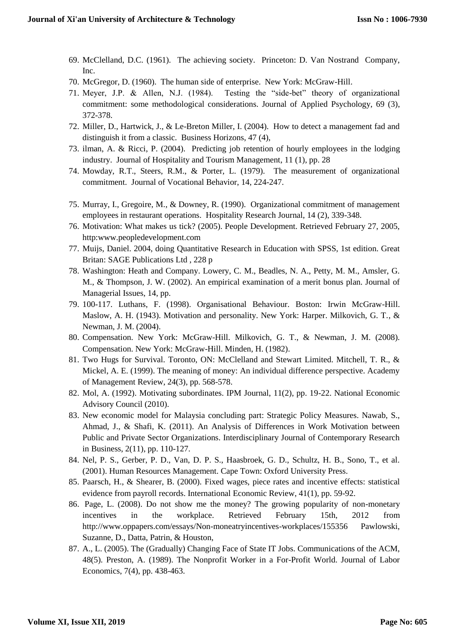- 69. McClelland, D.C. (1961). The achieving society. Princeton: D. Van Nostrand Company, Inc.
- 70. McGregor, D. (1960). The human side of enterprise. New York: McGraw-Hill.
- 71. Meyer, J.P. & Allen, N.J. (1984). Testing the "side-bet" theory of organizational commitment: some methodological considerations. Journal of Applied Psychology, 69 (3), 372-378.
- 72. Miller, D., Hartwick, J., & Le-Breton Miller, I. (2004). How to detect a management fad and distinguish it from a classic. Business Horizons, 47 (4),
- 73. ilman, A. & Ricci, P. (2004). Predicting job retention of hourly employees in the lodging industry. Journal of Hospitality and Tourism Management, 11 (1), pp. 28
- 74. Mowday, R.T., Steers, R.M., & Porter, L. (1979). The measurement of organizational commitment. Journal of Vocational Behavior, 14, 224-247.
- 75. Murray, I., Gregoire, M., & Downey, R. (1990). Organizational commitment of management employees in restaurant operations. Hospitality Research Journal, 14 (2), 339-348.
- 76. Motivation: What makes us tick? (2005). People Development. Retrieved February 27, 2005, http:www.peopledevelopment.com
- 77. Muijs, Daniel. 2004, doing Quantitative Research in Education with SPSS, 1st edition. Great Britan: SAGE Publications Ltd , 228 p
- 78. Washington: Heath and Company. Lowery, C. M., Beadles, N. A., Petty, M. M., Amsler, G. M., & Thompson, J. W. (2002). An empirical examination of a merit bonus plan. Journal of Managerial Issues, 14, pp.
- 79. 100-117. Luthans, F. (1998). Organisational Behaviour. Boston: Irwin McGraw-Hill. Maslow, A. H. (1943). Motivation and personality. New York: Harper. Milkovich, G. T., & Newman, J. M. (2004).
- 80. Compensation. New York: McGraw-Hill. Milkovich, G. T., & Newman, J. M. (2008). Compensation. New York: McGraw-Hill. Minden, H. (1982).
- 81. Two Hugs for Survival. Toronto, ON: McClelland and Stewart Limited. Mitchell, T. R., & Mickel, A. E. (1999). The meaning of money: An individual difference perspective. Academy of Management Review, 24(3), pp. 568-578.
- 82. Mol, A. (1992). Motivating subordinates. IPM Journal, 11(2), pp. 19-22. National Economic Advisory Council (2010).
- 83. New economic model for Malaysia concluding part: Strategic Policy Measures. Nawab, S., Ahmad, J., & Shafi, K. (2011). An Analysis of Differences in Work Motivation between Public and Private Sector Organizations. Interdisciplinary Journal of Contemporary Research in Business, 2(11), pp. 110-127.
- 84. Nel, P. S., Gerber, P. D., Van, D. P. S., Haasbroek, G. D., Schultz, H. B., Sono, T., et al. (2001). Human Resources Management. Cape Town: Oxford University Press.
- 85. Paarsch, H., & Shearer, B. (2000). Fixed wages, piece rates and incentive effects: statistical evidence from payroll records. International Economic Review, 41(1), pp. 59-92.
- 86. Page, L. (2008). Do not show me the money? The growing popularity of non-monetary incentives in the workplace. Retrieved February 15th, 2012 from http://www.oppapers.com/essays/Non-moneatryincentives-workplaces/155356 Pawlowski, Suzanne, D., Datta, Patrin, & Houston,
- 87. A., L. (2005). The (Gradually) Changing Face of State IT Jobs. Communications of the ACM, 48(5). Preston, A. (1989). The Nonprofit Worker in a For-Profit World. Journal of Labor Economics, 7(4), pp. 438-463.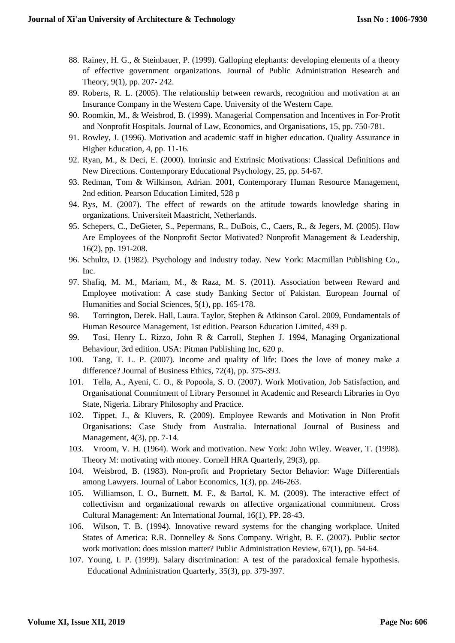- 88. Rainey, H. G., & Steinbauer, P. (1999). Galloping elephants: developing elements of a theory of effective government organizations. Journal of Public Administration Research and Theory, 9(1), pp. 207- 242.
- 89. Roberts, R. L. (2005). The relationship between rewards, recognition and motivation at an Insurance Company in the Western Cape. University of the Western Cape.
- 90. Roomkin, M., & Weisbrod, B. (1999). Managerial Compensation and Incentives in For-Profit and Nonprofit Hospitals. Journal of Law, Economics, and Organisations, 15, pp. 750-781.
- 91. Rowley, J. (1996). Motivation and academic staff in higher education. Quality Assurance in Higher Education, 4, pp. 11-16.
- 92. Ryan, M., & Deci, E. (2000). Intrinsic and Extrinsic Motivations: Classical Definitions and New Directions. Contemporary Educational Psychology, 25, pp. 54-67.
- 93. Redman, Tom & Wilkinson, Adrian. 2001, Contemporary Human Resource Management, 2nd edition. Pearson Education Limited, 528 p
- 94. Rys, M. (2007). The effect of rewards on the attitude towards knowledge sharing in organizations. Universiteit Maastricht, Netherlands.
- 95. Schepers, C., DeGieter, S., Pepermans, R., DuBois, C., Caers, R., & Jegers, M. (2005). How Are Employees of the Nonprofit Sector Motivated? Nonprofit Management & Leadership, 16(2), pp. 191-208.
- 96. Schultz, D. (1982). Psychology and industry today. New York: Macmillan Publishing Co., Inc.
- 97. Shafiq, M. M., Mariam, M., & Raza, M. S. (2011). Association between Reward and Employee motivation: A case study Banking Sector of Pakistan. European Journal of Humanities and Social Sciences, 5(1), pp. 165-178.
- 98. Torrington, Derek. Hall, Laura. Taylor, Stephen & Atkinson Carol. 2009, Fundamentals of Human Resource Management, 1st edition. Pearson Education Limited, 439 p.
- 99. Tosi, Henry L. Rizzo, John R & Carroll, Stephen J. 1994, Managing Organizational Behaviour, 3rd edition. USA: Pitman Publishing Inc, 620 p.
- 100. Tang, T. L. P. (2007). Income and quality of life: Does the love of money make a difference? Journal of Business Ethics, 72(4), pp. 375-393.
- 101. Tella, A., Ayeni, C. O., & Popoola, S. O. (2007). Work Motivation, Job Satisfaction, and Organisational Commitment of Library Personnel in Academic and Research Libraries in Oyo State, Nigeria. Library Philosophy and Practice.
- 102. Tippet, J., & Kluvers, R. (2009). Employee Rewards and Motivation in Non Profit Organisations: Case Study from Australia. International Journal of Business and Management, 4(3), pp. 7-14.
- 103. Vroom, V. H. (1964). Work and motivation. New York: John Wiley. Weaver, T. (1998). Theory M: motivating with money. Cornell HRA Quarterly, 29(3), pp.
- 104. Weisbrod, B. (1983). Non-profit and Proprietary Sector Behavior: Wage Differentials among Lawyers. Journal of Labor Economics, 1(3), pp. 246-263.
- 105. Williamson, I. O., Burnett, M. F., & Bartol, K. M. (2009). The interactive effect of collectivism and organizational rewards on affective organizational commitment. Cross Cultural Management: An International Journal, 16(1), PP. 28-43.
- 106. Wilson, T. B. (1994). Innovative reward systems for the changing workplace. United States of America: R.R. Donnelley & Sons Company. Wright, B. E. (2007). Public sector work motivation: does mission matter? Public Administration Review, 67(1), pp. 54-64.
- 107. Young, I. P. (1999). Salary discrimination: A test of the paradoxical female hypothesis. Educational Administration Quarterly, 35(3), pp. 379-397.